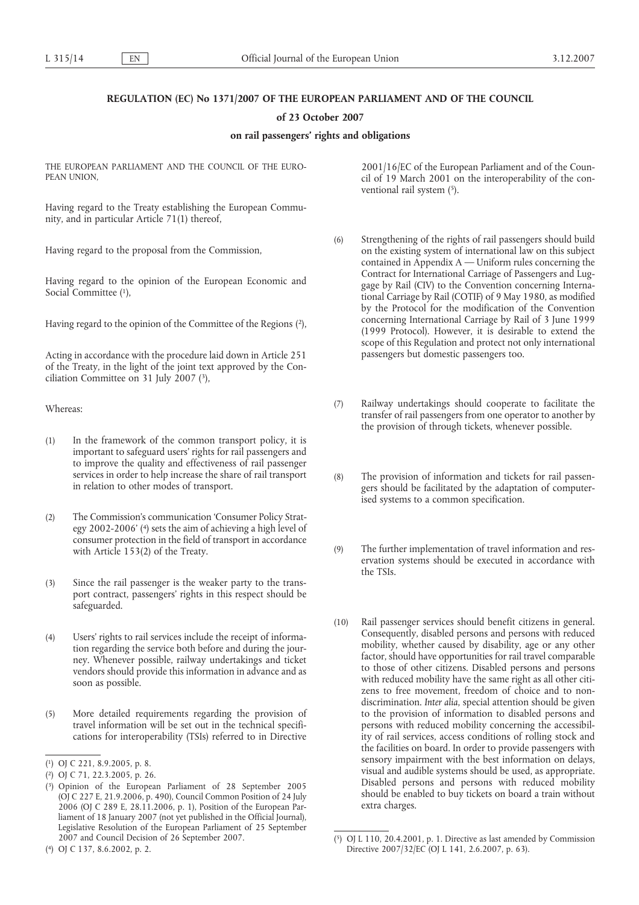# **REGULATION (EC) No 1371/2007 OF THE EUROPEAN PARLIAMENT AND OF THE COUNCIL**

# **of 23 October 2007**

# **on rail passengers' rights and obligations**

THE EUROPEAN PARLIAMENT AND THE COUNCIL OF THE EURO-PEAN UNION

Having regard to the Treaty establishing the European Community, and in particular Article 71(1) thereof,

Having regard to the proposal from the Commission,

Having regard to the opinion of the European Economic and Social Committee (1),

Having regard to the opinion of the Committee of the Regions (2),

Acting in accordance with the procedure laid down in Article 251 of the Treaty, in the light of the joint text approved by the Conciliation Committee on 31 July 2007 (3),

Whereas:

- (1) In the framework of the common transport policy, it is important to safeguard users' rights for rail passengers and to improve the quality and effectiveness of rail passenger services in order to help increase the share of rail transport in relation to other modes of transport.
- (2) The Commission's communication 'Consumer Policy Strategy 2002-2006' (4) sets the aim of achieving a high level of consumer protection in the field of transport in accordance with Article 153(2) of the Treaty.
- (3) Since the rail passenger is the weaker party to the transport contract, passengers' rights in this respect should be safeguarded.
- (4) Users' rights to rail services include the receipt of information regarding the service both before and during the journey. Whenever possible, railway undertakings and ticket vendors should provide this information in advance and as soon as possible.
- (5) More detailed requirements regarding the provision of travel information will be set out in the technical specifications for interoperability (TSIs) referred to in Directive

( 4) OJ C 137, 8.6.2002, p. 2.

2001/16/EC of the European Parliament and of the Council of 19 March 2001 on the interoperability of the conventional rail system (5).

- (6) Strengthening of the rights of rail passengers should build on the existing system of international law on this subject contained in Appendix  $A$  — Uniform rules concerning the Contract for International Carriage of Passengers and Luggage by Rail (CIV) to the Convention concerning International Carriage by Rail (COTIF) of 9 May 1980, as modified by the Protocol for the modification of the Convention concerning International Carriage by Rail of 3 June 1999 (1999 Protocol). However, it is desirable to extend the scope of this Regulation and protect not only international passengers but domestic passengers too.
- (7) Railway undertakings should cooperate to facilitate the transfer of rail passengers from one operator to another by the provision of through tickets, whenever possible.
- (8) The provision of information and tickets for rail passengers should be facilitated by the adaptation of computerised systems to a common specification.
- (9) The further implementation of travel information and reservation systems should be executed in accordance with the TSIs.
- (10) Rail passenger services should benefit citizens in general. Consequently, disabled persons and persons with reduced mobility, whether caused by disability, age or any other factor, should have opportunities for rail travel comparable to those of other citizens. Disabled persons and persons with reduced mobility have the same right as all other citizens to free movement, freedom of choice and to nondiscrimination. *Inter alia*, special attention should be given to the provision of information to disabled persons and persons with reduced mobility concerning the accessibility of rail services, access conditions of rolling stock and the facilities on board. In order to provide passengers with sensory impairment with the best information on delays, visual and audible systems should be used, as appropriate. Disabled persons and persons with reduced mobility should be enabled to buy tickets on board a train without extra charges.

<sup>(</sup> 1) OJ C 221, 8.9.2005, p. 8.

<sup>(</sup> 2) OJ C 71, 22.3.2005, p. 26.

<sup>(</sup> 3) Opinion of the European Parliament of 28 September 2005 (OJ C 227 E, 21.9.2006, p. 490), Council Common Position of 24 July 2006 (OJ C 289 E, 28.11.2006, p. 1), Position of the European Parliament of 18 January 2007 (not yet published in the Official Journal), Legislative Resolution of the European Parliament of 25 September 2007 and Council Decision of 26 September 2007.

<sup>(</sup> 5) OJ L 110, 20.4.2001, p. 1. Directive as last amended by Commission Directive 2007/32/EC (OJ L 141, 2.6.2007, p. 63).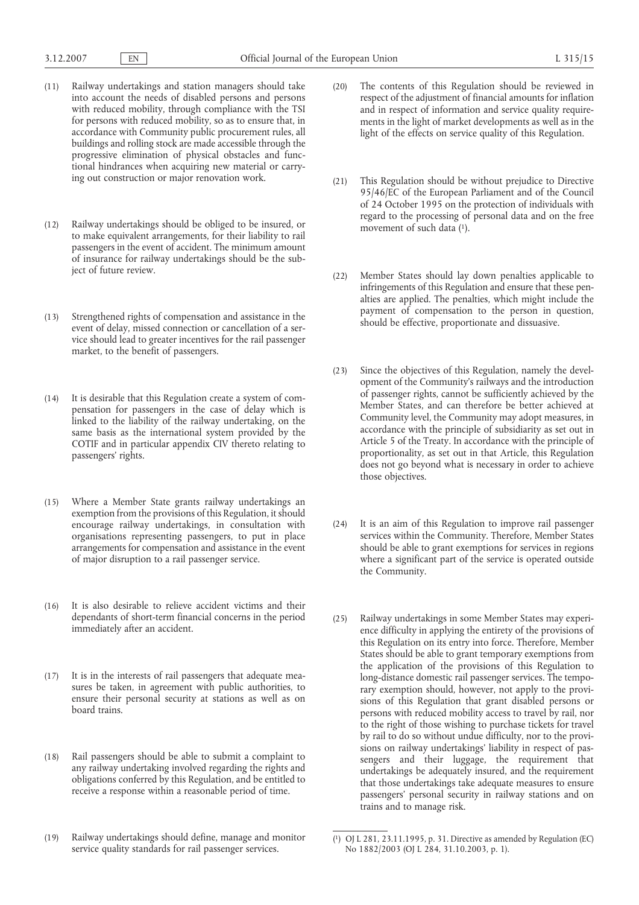- (11) Railway undertakings and station managers should take into account the needs of disabled persons and persons with reduced mobility, through compliance with the TSI for persons with reduced mobility, so as to ensure that, in accordance with Community public procurement rules, all buildings and rolling stock are made accessible through the progressive elimination of physical obstacles and functional hindrances when acquiring new material or carrying out construction or major renovation work.
- (12) Railway undertakings should be obliged to be insured, or to make equivalent arrangements, for their liability to rail passengers in the event of accident. The minimum amount of insurance for railway undertakings should be the subject of future review.
- (13) Strengthened rights of compensation and assistance in the event of delay, missed connection or cancellation of a service should lead to greater incentives for the rail passenger market, to the benefit of passengers.
- (14) It is desirable that this Regulation create a system of compensation for passengers in the case of delay which is linked to the liability of the railway undertaking, on the same basis as the international system provided by the COTIF and in particular appendix CIV thereto relating to passengers' rights.
- (15) Where a Member State grants railway undertakings an exemption from the provisions of this Regulation, it should encourage railway undertakings, in consultation with organisations representing passengers, to put in place arrangements for compensation and assistance in the event of major disruption to a rail passenger service.
- (16) It is also desirable to relieve accident victims and their dependants of short-term financial concerns in the period immediately after an accident.
- (17) It is in the interests of rail passengers that adequate measures be taken, in agreement with public authorities, to ensure their personal security at stations as well as on board trains.
- (18) Rail passengers should be able to submit a complaint to any railway undertaking involved regarding the rights and obligations conferred by this Regulation, and be entitled to receive a response within a reasonable period of time.
- (19) Railway undertakings should define, manage and monitor service quality standards for rail passenger services.
- (20) The contents of this Regulation should be reviewed in respect of the adjustment of financial amounts for inflation and in respect of information and service quality requirements in the light of market developments as well as in the light of the effects on service quality of this Regulation.
- (21) This Regulation should be without prejudice to Directive 95/46/EC of the European Parliament and of the Council of 24 October 1995 on the protection of individuals with regard to the processing of personal data and on the free movement of such data (1).
- (22) Member States should lay down penalties applicable to infringements of this Regulation and ensure that these penalties are applied. The penalties, which might include the payment of compensation to the person in question, should be effective, proportionate and dissuasive.
- (23) Since the objectives of this Regulation, namely the development of the Community's railways and the introduction of passenger rights, cannot be sufficiently achieved by the Member States, and can therefore be better achieved at Community level, the Community may adopt measures, in accordance with the principle of subsidiarity as set out in Article 5 of the Treaty. In accordance with the principle of proportionality, as set out in that Article, this Regulation does not go beyond what is necessary in order to achieve those objectives.
- (24) It is an aim of this Regulation to improve rail passenger services within the Community. Therefore, Member States should be able to grant exemptions for services in regions where a significant part of the service is operated outside the Community.
- (25) Railway undertakings in some Member States may experience difficulty in applying the entirety of the provisions of this Regulation on its entry into force. Therefore, Member States should be able to grant temporary exemptions from the application of the provisions of this Regulation to long-distance domestic rail passenger services. The temporary exemption should, however, not apply to the provisions of this Regulation that grant disabled persons or persons with reduced mobility access to travel by rail, nor to the right of those wishing to purchase tickets for travel by rail to do so without undue difficulty, nor to the provisions on railway undertakings' liability in respect of passengers and their luggage, the requirement that undertakings be adequately insured, and the requirement that those undertakings take adequate measures to ensure passengers' personal security in railway stations and on trains and to manage risk.

<sup>(</sup> 1) OJ L 281, 23.11.1995, p. 31. Directive as amended by Regulation (EC) No 1882/2003 (OJ L 284, 31.10.2003, p. 1).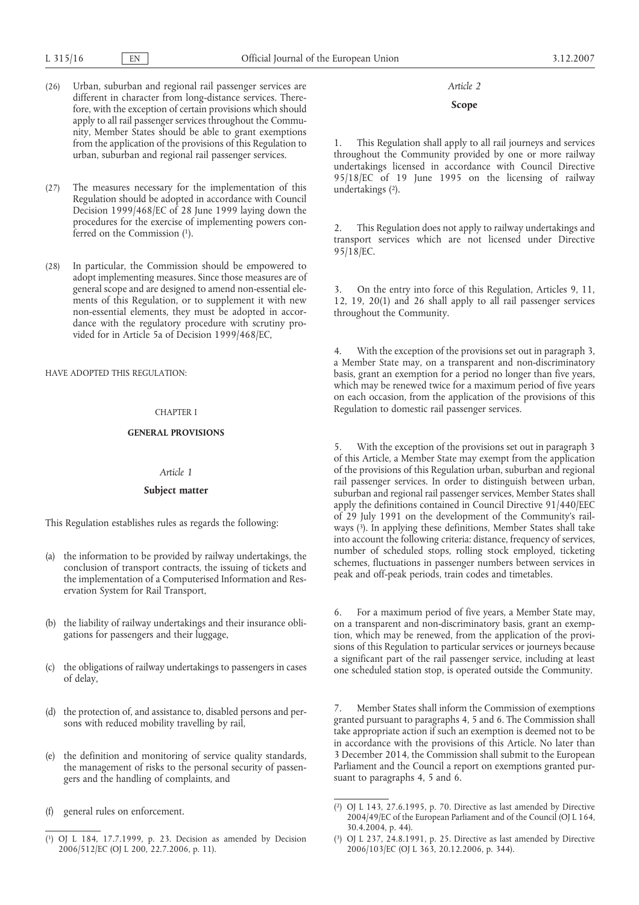- (26) Urban, suburban and regional rail passenger services are different in character from long-distance services. Therefore, with the exception of certain provisions which should apply to all rail passenger services throughout the Community, Member States should be able to grant exemptions from the application of the provisions of this Regulation to urban, suburban and regional rail passenger services.
- (27) The measures necessary for the implementation of this Regulation should be adopted in accordance with Council Decision 1999/468/EC of 28 June 1999 laying down the procedures for the exercise of implementing powers conferred on the Commission (1).
- (28) In particular, the Commission should be empowered to adopt implementing measures. Since those measures are of general scope and are designed to amend non-essential elements of this Regulation, or to supplement it with new non-essential elements, they must be adopted in accordance with the regulatory procedure with scrutiny provided for in Article 5a of Decision 1999/468/EC,

HAVE ADOPTED THIS REGULATION:

## CHAPTER I

# **GENERAL PROVISIONS**

### *Article 1*

### **Subject matter**

This Regulation establishes rules as regards the following:

- (a) the information to be provided by railway undertakings, the conclusion of transport contracts, the issuing of tickets and the implementation of a Computerised Information and Reservation System for Rail Transport,
- (b) the liability of railway undertakings and their insurance obligations for passengers and their luggage,
- (c) the obligations of railway undertakings to passengers in cases of delay,
- (d) the protection of, and assistance to, disabled persons and persons with reduced mobility travelling by rail,
- (e) the definition and monitoring of service quality standards, the management of risks to the personal security of passengers and the handling of complaints, and
- (f) general rules on enforcement.

# *Article 2*

# **Scope**

This Regulation shall apply to all rail journeys and services throughout the Community provided by one or more railway undertakings licensed in accordance with Council Directive 95/18/EC of 19 June 1995 on the licensing of railway undertakings (2).

2. This Regulation does not apply to railway undertakings and transport services which are not licensed under Directive 95/18/EC.

3. On the entry into force of this Regulation, Articles 9, 11, 12, 19, 20(1) and 26 shall apply to all rail passenger services throughout the Community.

4. With the exception of the provisions set out in paragraph 3, a Member State may, on a transparent and non-discriminatory basis, grant an exemption for a period no longer than five years, which may be renewed twice for a maximum period of five years on each occasion, from the application of the provisions of this Regulation to domestic rail passenger services.

5. With the exception of the provisions set out in paragraph 3 of this Article, a Member State may exempt from the application of the provisions of this Regulation urban, suburban and regional rail passenger services. In order to distinguish between urban, suburban and regional rail passenger services, Member States shall apply the definitions contained in Council Directive 91/440/EEC of 29 July 1991 on the development of the Community's railways (3). In applying these definitions, Member States shall take into account the following criteria: distance, frequency of services, number of scheduled stops, rolling stock employed, ticketing schemes, fluctuations in passenger numbers between services in peak and off-peak periods, train codes and timetables.

6. For a maximum period of five years, a Member State may, on a transparent and non-discriminatory basis, grant an exemption, which may be renewed, from the application of the provisions of this Regulation to particular services or journeys because a significant part of the rail passenger service, including at least one scheduled station stop, is operated outside the Community.

7. Member States shall inform the Commission of exemptions granted pursuant to paragraphs 4, 5 and 6. The Commission shall take appropriate action if such an exemption is deemed not to be in accordance with the provisions of this Article. No later than 3 December 2014, the Commission shall submit to the European Parliament and the Council a report on exemptions granted pursuant to paragraphs 4, 5 and 6.

<sup>(</sup> 1) OJ L 184, 17.7.1999, p. 23. Decision as amended by Decision 2006/512/EC (OJ L 200, 22.7.2006, p. 11).

<sup>(</sup> 2) OJ L 143, 27.6.1995, p. 70. Directive as last amended by Directive 2004/49/EC of the European Parliament and of the Council (OJ L 164, 30.4.2004, p. 44).

<sup>(</sup> 3) OJ L 237, 24.8.1991, p. 25. Directive as last amended by Directive 2006/103/EC (OJ L 363, 20.12.2006, p. 344).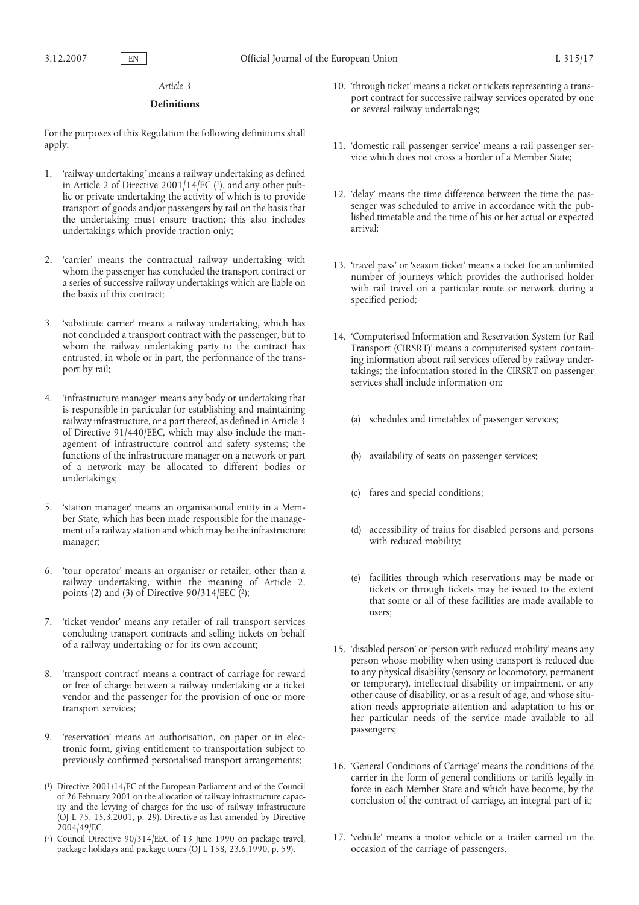# **Definitions**

For the purposes of this Regulation the following definitions shall apply:

- 1. 'railway undertaking' means a railway undertaking as defined in Article 2 of Directive  $2001/14/E\acute{C}$  (1), and any other public or private undertaking the activity of which is to provide transport of goods and/or passengers by rail on the basis that the undertaking must ensure traction; this also includes undertakings which provide traction only;
- 2. 'carrier' means the contractual railway undertaking with whom the passenger has concluded the transport contract or a series of successive railway undertakings which are liable on the basis of this contract;
- 3. 'substitute carrier' means a railway undertaking, which has not concluded a transport contract with the passenger, but to whom the railway undertaking party to the contract has entrusted, in whole or in part, the performance of the transport by rail;
- 4. 'infrastructure manager' means any body or undertaking that is responsible in particular for establishing and maintaining railway infrastructure, or a part thereof, as defined in Article 3 of Directive 91/440/EEC, which may also include the management of infrastructure control and safety systems; the functions of the infrastructure manager on a network or part of a network may be allocated to different bodies or undertakings;
- 5. 'station manager' means an organisational entity in a Member State, which has been made responsible for the management of a railway station and which may be the infrastructure manager;
- 6. 'tour operator' means an organiser or retailer, other than a railway undertaking, within the meaning of Article 2, points (2) and (3) of Directive  $90/314/EEC$  (2);
- 7. 'ticket vendor' means any retailer of rail transport services concluding transport contracts and selling tickets on behalf of a railway undertaking or for its own account;
- 8. 'transport contract' means a contract of carriage for reward or free of charge between a railway undertaking or a ticket vendor and the passenger for the provision of one or more transport services;
- 9. 'reservation' means an authorisation, on paper or in electronic form, giving entitlement to transportation subject to previously confirmed personalised transport arrangements;
- 10. 'through ticket' means a ticket or tickets representing a transport contract for successive railway services operated by one or several railway undertakings;
- 11. 'domestic rail passenger service' means a rail passenger service which does not cross a border of a Member State;
- 12. 'delay' means the time difference between the time the passenger was scheduled to arrive in accordance with the published timetable and the time of his or her actual or expected arrival;
- 13. 'travel pass' or 'season ticket' means a ticket for an unlimited number of journeys which provides the authorised holder with rail travel on a particular route or network during a specified period;
- 14. 'Computerised Information and Reservation System for Rail Transport (CIRSRT)' means a computerised system containing information about rail services offered by railway undertakings; the information stored in the CIRSRT on passenger services shall include information on:
	- (a) schedules and timetables of passenger services;
	- (b) availability of seats on passenger services;
	- (c) fares and special conditions;
	- (d) accessibility of trains for disabled persons and persons with reduced mobility;
	- (e) facilities through which reservations may be made or tickets or through tickets may be issued to the extent that some or all of these facilities are made available to users;
- 15. 'disabled person' or 'person with reduced mobility' means any person whose mobility when using transport is reduced due to any physical disability (sensory or locomotory, permanent or temporary), intellectual disability or impairment, or any other cause of disability, or as a result of age, and whose situation needs appropriate attention and adaptation to his or her particular needs of the service made available to all passengers;
- 16. 'General Conditions of Carriage' means the conditions of the carrier in the form of general conditions or tariffs legally in force in each Member State and which have become, by the conclusion of the contract of carriage, an integral part of it;
- 17. 'vehicle' means a motor vehicle or a trailer carried on the occasion of the carriage of passengers.

<sup>(</sup> 1) Directive 2001/14/EC of the European Parliament and of the Council of 26 February 2001 on the allocation of railway infrastructure capacity and the levying of charges for the use of railway infrastructure (OJ L 75, 15.3.2001, p. 29). Directive as last amended by Directive 2004/49/EC.

<sup>(</sup> 2) Council Directive 90/314/EEC of 13 June 1990 on package travel, package holidays and package tours (OJ L 158, 23.6.1990, p. 59).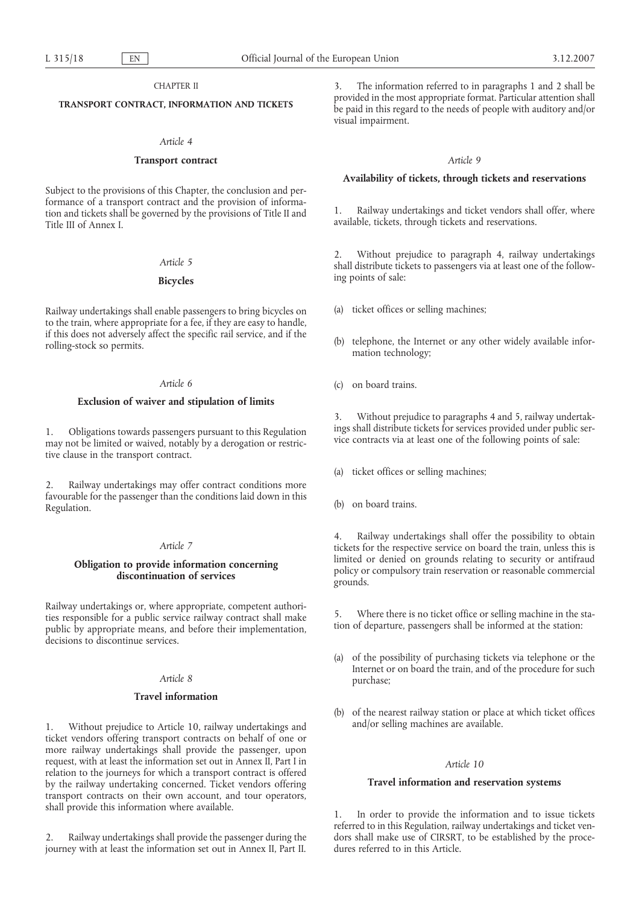# CHAPTER II

## **TRANSPORT CONTRACT, INFORMATION AND TICKETS**

# *Article 4*

# **Transport contract**

Subject to the provisions of this Chapter, the conclusion and performance of a transport contract and the provision of information and tickets shall be governed by the provisions of Title II and Title III of Annex I.

## *Article 5*

# **Bicycles**

Railway undertakings shall enable passengers to bring bicycles on to the train, where appropriate for a fee, if they are easy to handle, if this does not adversely affect the specific rail service, and if the rolling-stock so permits.

# *Article 6*

## **Exclusion of waiver and stipulation of limits**

1. Obligations towards passengers pursuant to this Regulation may not be limited or waived, notably by a derogation or restrictive clause in the transport contract.

2. Railway undertakings may offer contract conditions more favourable for the passenger than the conditions laid down in this Regulation.

# *Article 7*

# **Obligation to provide information concerning discontinuation of services**

Railway undertakings or, where appropriate, competent authorities responsible for a public service railway contract shall make public by appropriate means, and before their implementation, decisions to discontinue services.

### *Article 8*

#### **Travel information**

1. Without prejudice to Article 10, railway undertakings and ticket vendors offering transport contracts on behalf of one or more railway undertakings shall provide the passenger, upon request, with at least the information set out in Annex II, Part I in relation to the journeys for which a transport contract is offered by the railway undertaking concerned. Ticket vendors offering transport contracts on their own account, and tour operators, shall provide this information where available.

2. Railway undertakings shall provide the passenger during the journey with at least the information set out in Annex II, Part II.

3. The information referred to in paragraphs 1 and 2 shall be provided in the most appropriate format. Particular attention shall be paid in this regard to the needs of people with auditory and/or visual impairment.

### *Article 9*

# **Availability of tickets, through tickets and reservations**

1. Railway undertakings and ticket vendors shall offer, where available, tickets, through tickets and reservations.

2. Without prejudice to paragraph 4, railway undertakings shall distribute tickets to passengers via at least one of the following points of sale:

- (a) ticket offices or selling machines;
- (b) telephone, the Internet or any other widely available information technology;
- (c) on board trains.

3. Without prejudice to paragraphs 4 and 5, railway undertakings shall distribute tickets for services provided under public service contracts via at least one of the following points of sale:

- (a) ticket offices or selling machines;
- (b) on board trains.

4. Railway undertakings shall offer the possibility to obtain tickets for the respective service on board the train, unless this is limited or denied on grounds relating to security or antifraud policy or compulsory train reservation or reasonable commercial grounds.

5. Where there is no ticket office or selling machine in the station of departure, passengers shall be informed at the station:

- (a) of the possibility of purchasing tickets via telephone or the Internet or on board the train, and of the procedure for such purchase;
- (b) of the nearest railway station or place at which ticket offices and/or selling machines are available.

## *Article 10*

## **Travel information and reservation systems**

1. In order to provide the information and to issue tickets referred to in this Regulation, railway undertakings and ticket vendors shall make use of CIRSRT, to be established by the procedures referred to in this Article.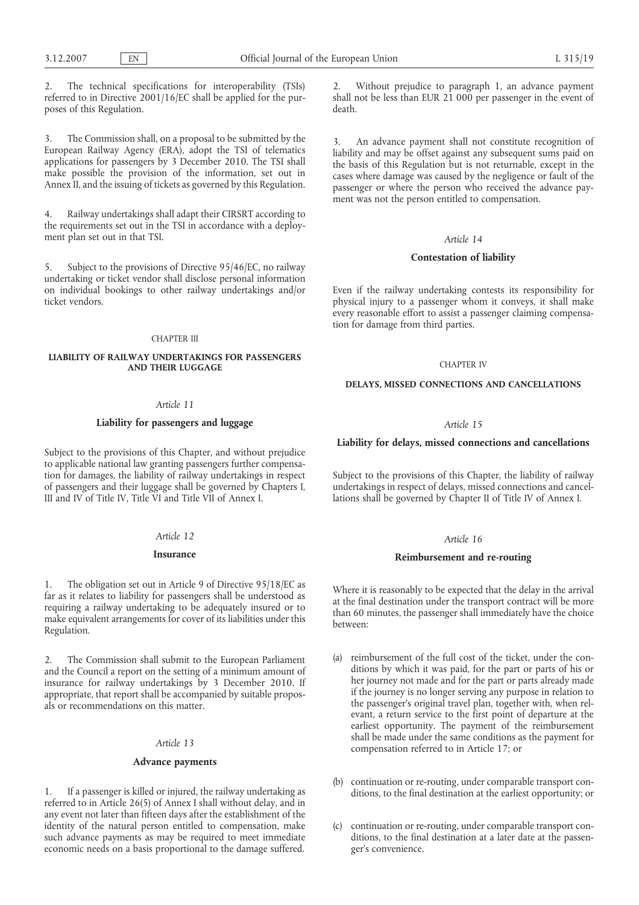2. The technical specifications for interoperability (TSIs) referred to in Directive 2001/16/EC shall be applied for the purposes of this Regulation.

The Commission shall, on a proposal to be submitted by the European Railway Agency (ERA), adopt the TSI of telematics applications for passengers by 3 December 2010. The TSI shall make possible the provision of the information, set out in Annex II, and the issuing of tickets as governed by this Regulation.

4. Railway undertakings shall adapt their CIRSRT according to the requirements set out in the TSI in accordance with a deployment plan set out in that TSI.

5. Subject to the provisions of Directive 95/46/EC, no railway undertaking or ticket vendor shall disclose personal information on individual bookings to other railway undertakings and/or ticket vendors.

## CHAPTER III

# **LIABILITY OF RAILWAY UNDERTAKINGS FOR PASSENGERS AND THEIR LUGGAGE**

# *Article 11*

## **Liability for passengers and luggage**

Subject to the provisions of this Chapter, and without prejudice to applicable national law granting passengers further compensation for damages, the liability of railway undertakings in respect of passengers and their luggage shall be governed by Chapters I, III and IV of Title IV, Title VI and Title VII of Annex I.

# *Article 12*

#### **Insurance**

The obligation set out in Article 9 of Directive 95/18/EC as far as it relates to liability for passengers shall be understood as requiring a railway undertaking to be adequately insured or to make equivalent arrangements for cover of its liabilities under this Regulation.

2. The Commission shall submit to the European Parliament and the Council a report on the setting of a minimum amount of insurance for railway undertakings by 3 December 2010. If appropriate, that report shall be accompanied by suitable proposals or recommendations on this matter.

#### *Article 13*

#### **Advance payments**

1. If a passenger is killed or injured, the railway undertaking as referred to in Article 26(5) of Annex I shall without delay, and in any event not later than fifteen days after the establishment of the identity of the natural person entitled to compensation, make such advance payments as may be required to meet immediate economic needs on a basis proportional to the damage suffered.

2. Without prejudice to paragraph 1, an advance payment shall not be less than EUR 21 000 per passenger in the event of death.

3. An advance payment shall not constitute recognition of liability and may be offset against any subsequent sums paid on the basis of this Regulation but is not returnable, except in the cases where damage was caused by the negligence or fault of the passenger or where the person who received the advance payment was not the person entitled to compensation.

## *Article 14*

### **Contestation of liability**

Even if the railway undertaking contests its responsibility for physical injury to a passenger whom it conveys, it shall make every reasonable effort to assist a passenger claiming compensation for damage from third parties.

#### CHAPTER IV

# **DELAYS, MISSED CONNECTIONS AND CANCELLATIONS**

#### *Article 15*

## **Liability for delays, missed connections and cancellations**

Subject to the provisions of this Chapter, the liability of railway undertakings in respect of delays, missed connections and cancellations shall be governed by Chapter II of Title IV of Annex I.

### *Article 16*

# **Reimbursement and re-routing**

Where it is reasonably to be expected that the delay in the arrival at the final destination under the transport contract will be more than 60 minutes, the passenger shall immediately have the choice between:

- (a) reimbursement of the full cost of the ticket, under the conditions by which it was paid, for the part or parts of his or her journey not made and for the part or parts already made if the journey is no longer serving any purpose in relation to the passenger's original travel plan, together with, when relevant, a return service to the first point of departure at the earliest opportunity. The payment of the reimbursement shall be made under the same conditions as the payment for compensation referred to in Article 17; or
- (b) continuation or re-routing, under comparable transport conditions, to the final destination at the earliest opportunity; or
- (c) continuation or re-routing, under comparable transport conditions, to the final destination at a later date at the passenger's convenience.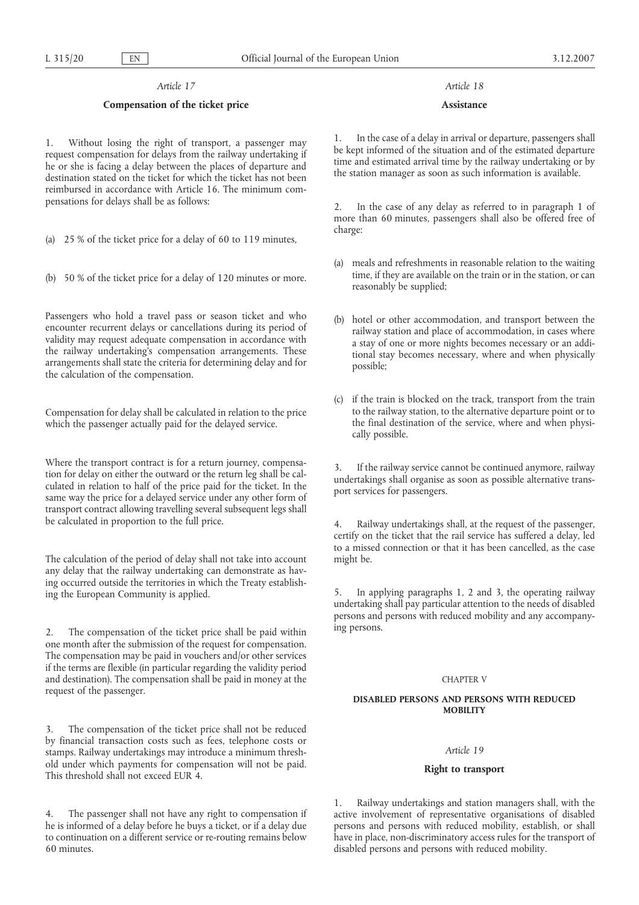# **Compensation of the ticket price**

1. Without losing the right of transport, a passenger may request compensation for delays from the railway undertaking if he or she is facing a delay between the places of departure and destination stated on the ticket for which the ticket has not been reimbursed in accordance with Article 16. The minimum compensations for delays shall be as follows:

- (a) 25 % of the ticket price for a delay of 60 to 119 minutes,
- (b) 50 % of the ticket price for a delay of 120 minutes or more.

Passengers who hold a travel pass or season ticket and who encounter recurrent delays or cancellations during its period of validity may request adequate compensation in accordance with the railway undertaking's compensation arrangements. These arrangements shall state the criteria for determining delay and for the calculation of the compensation.

Compensation for delay shall be calculated in relation to the price which the passenger actually paid for the delayed service.

Where the transport contract is for a return journey, compensation for delay on either the outward or the return leg shall be calculated in relation to half of the price paid for the ticket. In the same way the price for a delayed service under any other form of transport contract allowing travelling several subsequent legs shall be calculated in proportion to the full price.

The calculation of the period of delay shall not take into account any delay that the railway undertaking can demonstrate as having occurred outside the territories in which the Treaty establishing the European Community is applied.

2. The compensation of the ticket price shall be paid within one month after the submission of the request for compensation. The compensation may be paid in vouchers and/or other services if the terms are flexible (in particular regarding the validity period and destination). The compensation shall be paid in money at the request of the passenger.

The compensation of the ticket price shall not be reduced by financial transaction costs such as fees, telephone costs or stamps. Railway undertakings may introduce a minimum threshold under which payments for compensation will not be paid. This threshold shall not exceed EUR 4.

4. The passenger shall not have any right to compensation if he is informed of a delay before he buys a ticket, or if a delay due to continuation on a different service or re-routing remains below 60 minutes.

# *Article 18*

### **Assistance**

1. In the case of a delay in arrival or departure, passengers shall be kept informed of the situation and of the estimated departure time and estimated arrival time by the railway undertaking or by the station manager as soon as such information is available.

2. In the case of any delay as referred to in paragraph 1 of more than 60 minutes, passengers shall also be offered free of charge:

- (a) meals and refreshments in reasonable relation to the waiting time, if they are available on the train or in the station, or can reasonably be supplied;
- (b) hotel or other accommodation, and transport between the railway station and place of accommodation, in cases where a stay of one or more nights becomes necessary or an additional stay becomes necessary, where and when physically possible;
- (c) if the train is blocked on the track, transport from the train to the railway station, to the alternative departure point or to the final destination of the service, where and when physically possible.

3. If the railway service cannot be continued anymore, railway undertakings shall organise as soon as possible alternative transport services for passengers.

Railway undertakings shall, at the request of the passenger, certify on the ticket that the rail service has suffered a delay, led to a missed connection or that it has been cancelled, as the case might be.

5. In applying paragraphs 1, 2 and 3, the operating railway undertaking shall pay particular attention to the needs of disabled persons and persons with reduced mobility and any accompanying persons.

## CHAPTER V

## **DISABLED PERSONS AND PERSONS WITH REDUCED MOBILITY**

# *Article 19*

# **Right to transport**

1. Railway undertakings and station managers shall, with the active involvement of representative organisations of disabled persons and persons with reduced mobility, establish, or shall have in place, non-discriminatory access rules for the transport of disabled persons and persons with reduced mobility.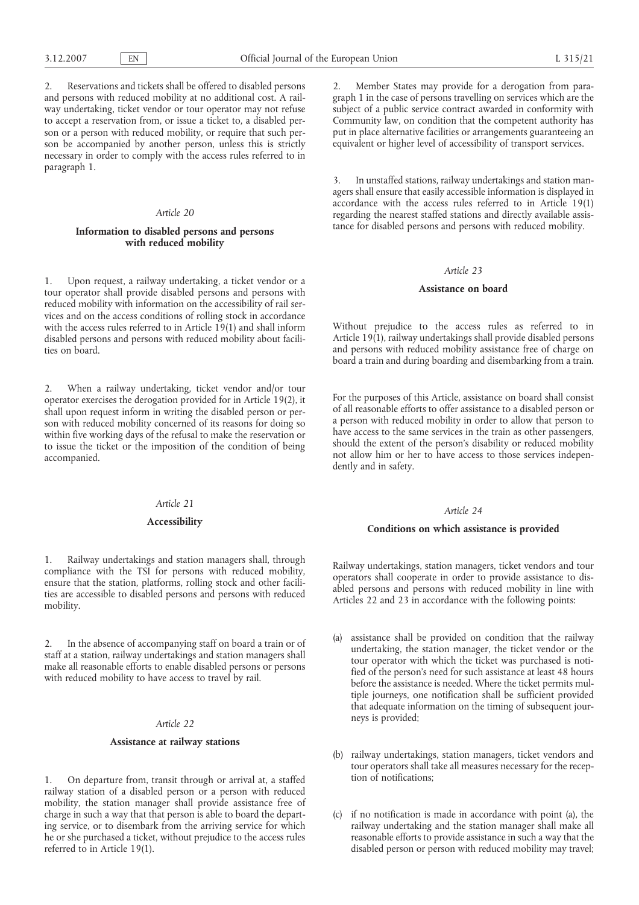2. Reservations and tickets shall be offered to disabled persons and persons with reduced mobility at no additional cost. A railway undertaking, ticket vendor or tour operator may not refuse to accept a reservation from, or issue a ticket to, a disabled person or a person with reduced mobility, or require that such person be accompanied by another person, unless this is strictly necessary in order to comply with the access rules referred to in paragraph 1.

# *Article 20*

# **Information to disabled persons and persons with reduced mobility**

1. Upon request, a railway undertaking, a ticket vendor or a tour operator shall provide disabled persons and persons with reduced mobility with information on the accessibility of rail services and on the access conditions of rolling stock in accordance with the access rules referred to in Article 19(1) and shall inform disabled persons and persons with reduced mobility about facilities on board.

2. When a railway undertaking, ticket vendor and/or tour operator exercises the derogation provided for in Article 19(2), it shall upon request inform in writing the disabled person or person with reduced mobility concerned of its reasons for doing so within five working days of the refusal to make the reservation or to issue the ticket or the imposition of the condition of being accompanied.

#### *Article 21*

# **Accessibility**

1. Railway undertakings and station managers shall, through compliance with the TSI for persons with reduced mobility, ensure that the station, platforms, rolling stock and other facilities are accessible to disabled persons and persons with reduced mobility.

2. In the absence of accompanying staff on board a train or of staff at a station, railway undertakings and station managers shall make all reasonable efforts to enable disabled persons or persons with reduced mobility to have access to travel by rail.

# *Article 22*

## **Assistance at railway stations**

1. On departure from, transit through or arrival at, a staffed railway station of a disabled person or a person with reduced mobility, the station manager shall provide assistance free of charge in such a way that that person is able to board the departing service, or to disembark from the arriving service for which he or she purchased a ticket, without prejudice to the access rules referred to in Article 19(1).

2. Member States may provide for a derogation from paragraph 1 in the case of persons travelling on services which are the subject of a public service contract awarded in conformity with Community law, on condition that the competent authority has put in place alternative facilities or arrangements guaranteeing an equivalent or higher level of accessibility of transport services.

3. In unstaffed stations, railway undertakings and station managers shall ensure that easily accessible information is displayed in accordance with the access rules referred to in Article 19(1) regarding the nearest staffed stations and directly available assistance for disabled persons and persons with reduced mobility.

#### *Article 23*

## **Assistance on board**

Without prejudice to the access rules as referred to in Article 19(1), railway undertakings shall provide disabled persons and persons with reduced mobility assistance free of charge on board a train and during boarding and disembarking from a train.

For the purposes of this Article, assistance on board shall consist of all reasonable efforts to offer assistance to a disabled person or a person with reduced mobility in order to allow that person to have access to the same services in the train as other passengers, should the extent of the person's disability or reduced mobility not allow him or her to have access to those services independently and in safety.

# *Article 24*

#### **Conditions on which assistance is provided**

Railway undertakings, station managers, ticket vendors and tour operators shall cooperate in order to provide assistance to disabled persons and persons with reduced mobility in line with Articles 22 and 23 in accordance with the following points:

- (a) assistance shall be provided on condition that the railway undertaking, the station manager, the ticket vendor or the tour operator with which the ticket was purchased is notified of the person's need for such assistance at least 48 hours before the assistance is needed. Where the ticket permits multiple journeys, one notification shall be sufficient provided that adequate information on the timing of subsequent journeys is provided;
- (b) railway undertakings, station managers, ticket vendors and tour operators shall take all measures necessary for the reception of notifications;
- (c) if no notification is made in accordance with point (a), the railway undertaking and the station manager shall make all reasonable efforts to provide assistance in such a way that the disabled person or person with reduced mobility may travel;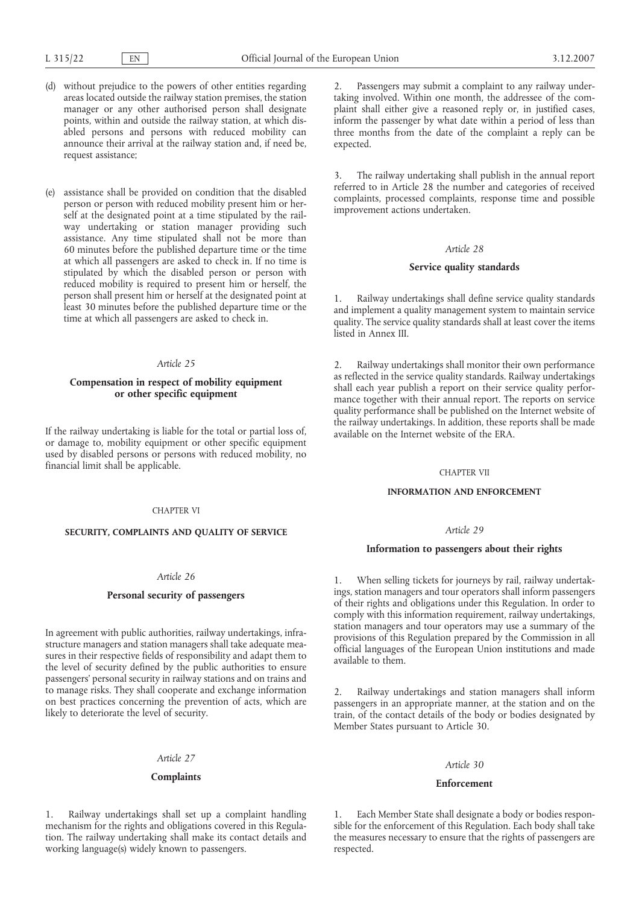- (d) without prejudice to the powers of other entities regarding areas located outside the railway station premises, the station manager or any other authorised person shall designate points, within and outside the railway station, at which disabled persons and persons with reduced mobility can announce their arrival at the railway station and, if need be, request assistance;
- (e) assistance shall be provided on condition that the disabled person or person with reduced mobility present him or herself at the designated point at a time stipulated by the railway undertaking or station manager providing such assistance. Any time stipulated shall not be more than 60 minutes before the published departure time or the time at which all passengers are asked to check in. If no time is stipulated by which the disabled person or person with reduced mobility is required to present him or herself, the person shall present him or herself at the designated point at least 30 minutes before the published departure time or the time at which all passengers are asked to check in.

# **Compensation in respect of mobility equipment or other specific equipment**

If the railway undertaking is liable for the total or partial loss of, or damage to, mobility equipment or other specific equipment used by disabled persons or persons with reduced mobility, no financial limit shall be applicable.

### CHAPTER VI

#### **SECURITY, COMPLAINTS AND QUALITY OF SERVICE**

## *Article 26*

# **Personal security of passengers**

In agreement with public authorities, railway undertakings, infrastructure managers and station managers shall take adequate measures in their respective fields of responsibility and adapt them to the level of security defined by the public authorities to ensure passengers' personal security in railway stations and on trains and to manage risks. They shall cooperate and exchange information on best practices concerning the prevention of acts, which are likely to deteriorate the level of security.

# *Article 27*

#### **Complaints**

1. Railway undertakings shall set up a complaint handling mechanism for the rights and obligations covered in this Regulation. The railway undertaking shall make its contact details and working language(s) widely known to passengers.

2. Passengers may submit a complaint to any railway undertaking involved. Within one month, the addressee of the complaint shall either give a reasoned reply or, in justified cases, inform the passenger by what date within a period of less than three months from the date of the complaint a reply can be expected.

3. The railway undertaking shall publish in the annual report referred to in Article 28 the number and categories of received complaints, processed complaints, response time and possible improvement actions undertaken.

#### *Article 28*

## **Service quality standards**

1. Railway undertakings shall define service quality standards and implement a quality management system to maintain service quality. The service quality standards shall at least cover the items listed in Annex III.

2. Railway undertakings shall monitor their own performance as reflected in the service quality standards. Railway undertakings shall each year publish a report on their service quality performance together with their annual report. The reports on service quality performance shall be published on the Internet website of the railway undertakings. In addition, these reports shall be made available on the Internet website of the ERA.

#### CHAPTER VII

### **INFORMATION AND ENFORCEMENT**

#### *Article 29*

## **Information to passengers about their rights**

1. When selling tickets for journeys by rail, railway undertakings, station managers and tour operators shall inform passengers of their rights and obligations under this Regulation. In order to comply with this information requirement, railway undertakings, station managers and tour operators may use a summary of the provisions of this Regulation prepared by the Commission in all official languages of the European Union institutions and made available to them.

2. Railway undertakings and station managers shall inform passengers in an appropriate manner, at the station and on the train, of the contact details of the body or bodies designated by Member States pursuant to Article 30.

#### *Article 30*

### **Enforcement**

1. Each Member State shall designate a body or bodies responsible for the enforcement of this Regulation. Each body shall take the measures necessary to ensure that the rights of passengers are respected.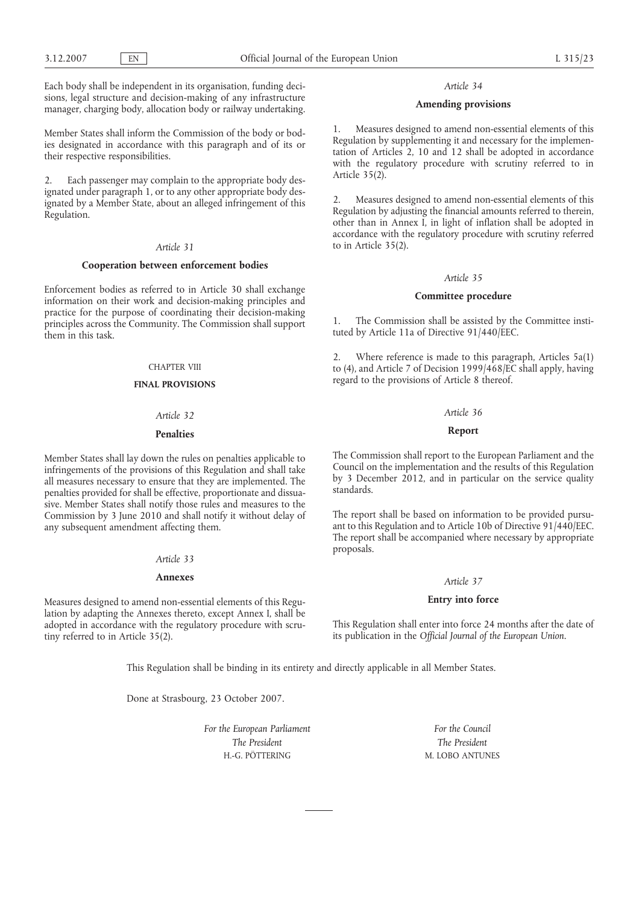Each body shall be independent in its organisation, funding decisions, legal structure and decision-making of any infrastructure manager, charging body, allocation body or railway undertaking.

Member States shall inform the Commission of the body or bodies designated in accordance with this paragraph and of its or their respective responsibilities.

2. Each passenger may complain to the appropriate body designated under paragraph 1, or to any other appropriate body designated by a Member State, about an alleged infringement of this Regulation.

# *Article 31*

## **Cooperation between enforcement bodies**

Enforcement bodies as referred to in Article 30 shall exchange information on their work and decision-making principles and practice for the purpose of coordinating their decision-making principles across the Community. The Commission shall support them in this task.

#### CHAPTER VIII

# **FINAL PROVISIONS**

#### *Article 32*

## **Penalties**

Member States shall lay down the rules on penalties applicable to infringements of the provisions of this Regulation and shall take all measures necessary to ensure that they are implemented. The penalties provided for shall be effective, proportionate and dissuasive. Member States shall notify those rules and measures to the Commission by 3 June 2010 and shall notify it without delay of any subsequent amendment affecting them.

#### *Article 33*

#### **Annexes**

Measures designed to amend non-essential elements of this Regulation by adapting the Annexes thereto, except Annex I, shall be adopted in accordance with the regulatory procedure with scrutiny referred to in Article 35(2).

#### *Article 34*

#### **Amending provisions**

1. Measures designed to amend non-essential elements of this Regulation by supplementing it and necessary for the implementation of Articles 2, 10 and 12 shall be adopted in accordance with the regulatory procedure with scrutiny referred to in Article 35(2).

2. Measures designed to amend non-essential elements of this Regulation by adjusting the financial amounts referred to therein, other than in Annex I, in light of inflation shall be adopted in accordance with the regulatory procedure with scrutiny referred to in Article 35(2).

### *Article 35*

# **Committee procedure**

1. The Commission shall be assisted by the Committee instituted by Article 11a of Directive 91/440/EEC.

2. Where reference is made to this paragraph, Articles 5a(1) to (4), and Article 7 of Decision 1999/468/EC shall apply, having regard to the provisions of Article 8 thereof.

#### *Article 36*

# **Report**

The Commission shall report to the European Parliament and the Council on the implementation and the results of this Regulation by 3 December 2012, and in particular on the service quality standards.

The report shall be based on information to be provided pursuant to this Regulation and to Article 10b of Directive 91/440/EEC. The report shall be accompanied where necessary by appropriate proposals.

## *Article 37*

## **Entry into force**

This Regulation shall enter into force 24 months after the date of its publication in the *Official Journal of the European Union*.

This Regulation shall be binding in its entirety and directly applicable in all Member States.

Done at Strasbourg, 23 October 2007.

*For the European Parliament The President* H.-G. PÖTTERING

*For the Council The President* M. LOBO ANTUNES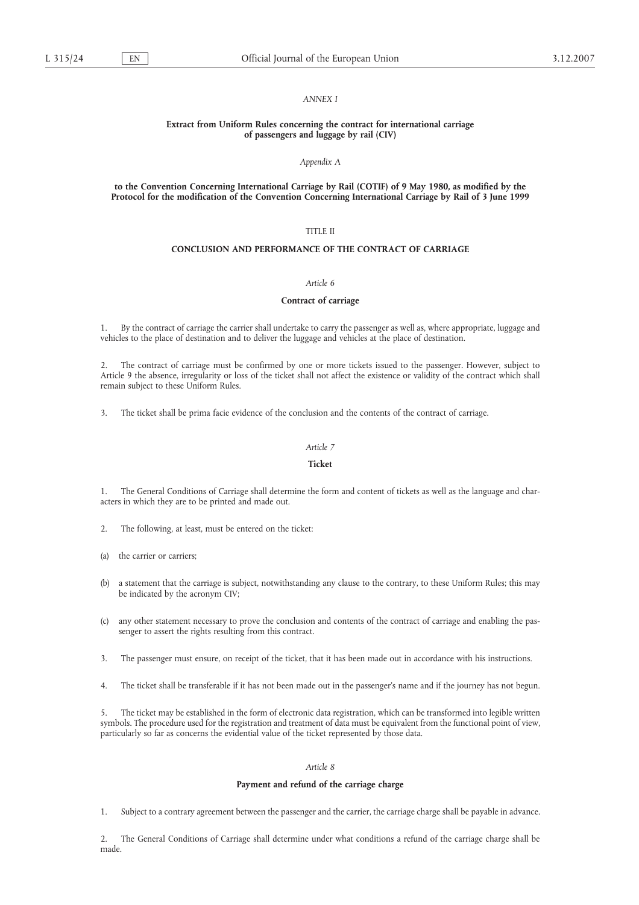### *ANNEX I*

# **Extract from Uniform Rules concerning the contract for international carriage of passengers and luggage by rail (CIV)**

#### *Appendix A*

### **to the Convention Concerning International Carriage by Rail (COTIF) of 9 May 1980, as modified by the Protocol for the modification of the Convention Concerning International Carriage by Rail of 3 June 1999**

# TITLE II

# **CONCLUSION AND PERFORMANCE OF THE CONTRACT OF CARRIAGE**

### *Article 6*

### **Contract of carriage**

1. By the contract of carriage the carrier shall undertake to carry the passenger as well as, where appropriate, luggage and vehicles to the place of destination and to deliver the luggage and vehicles at the place of destination.

2. The contract of carriage must be confirmed by one or more tickets issued to the passenger. However, subject to Article 9 the absence, irregularity or loss of the ticket shall not affect the existence or validity of the contract which shall remain subject to these Uniform Rules.

3. The ticket shall be prima facie evidence of the conclusion and the contents of the contract of carriage.

#### *Article 7*

# **Ticket**

1. The General Conditions of Carriage shall determine the form and content of tickets as well as the language and characters in which they are to be printed and made out.

- 2. The following, at least, must be entered on the ticket:
- (a) the carrier or carriers;
- (b) a statement that the carriage is subject, notwithstanding any clause to the contrary, to these Uniform Rules; this may be indicated by the acronym CIV;
- (c) any other statement necessary to prove the conclusion and contents of the contract of carriage and enabling the passenger to assert the rights resulting from this contract.
- 3. The passenger must ensure, on receipt of the ticket, that it has been made out in accordance with his instructions.
- 4. The ticket shall be transferable if it has not been made out in the passenger's name and if the journey has not begun.

5. The ticket may be established in the form of electronic data registration, which can be transformed into legible written symbols. The procedure used for the registration and treatment of data must be equivalent from the functional point of view, particularly so far as concerns the evidential value of the ticket represented by those data.

#### *Article 8*

### **Payment and refund of the carriage charge**

1. Subject to a contrary agreement between the passenger and the carrier, the carriage charge shall be payable in advance.

2. The General Conditions of Carriage shall determine under what conditions a refund of the carriage charge shall be made.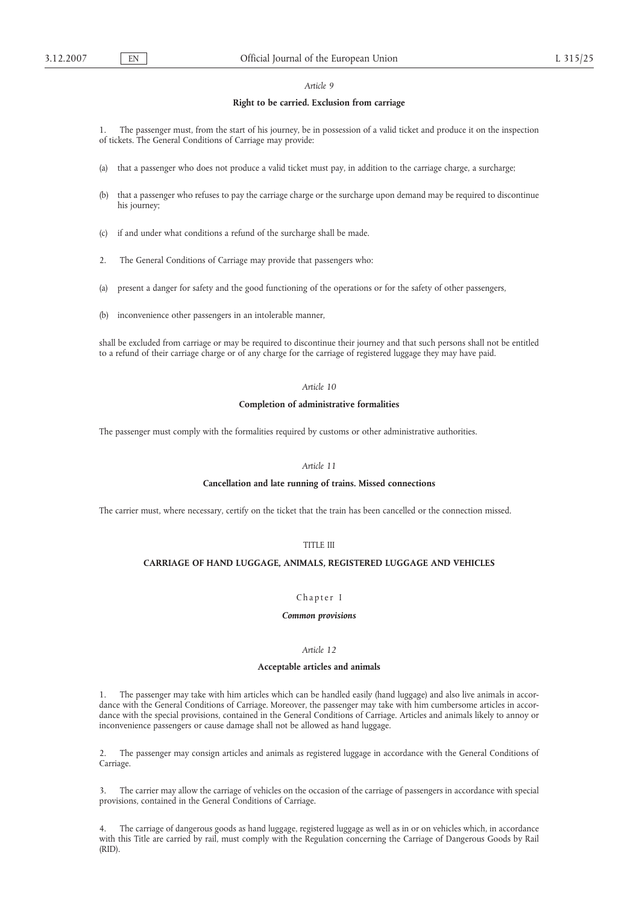## **Right to be carried. Exclusion from carriage**

1. The passenger must, from the start of his journey, be in possession of a valid ticket and produce it on the inspection of tickets. The General Conditions of Carriage may provide:

- that a passenger who does not produce a valid ticket must pay, in addition to the carriage charge, a surcharge;
- (b) that a passenger who refuses to pay the carriage charge or the surcharge upon demand may be required to discontinue his journey;
- (c) if and under what conditions a refund of the surcharge shall be made.
- 2. The General Conditions of Carriage may provide that passengers who:
- (a) present a danger for safety and the good functioning of the operations or for the safety of other passengers,
- (b) inconvenience other passengers in an intolerable manner,

shall be excluded from carriage or may be required to discontinue their journey and that such persons shall not be entitled to a refund of their carriage charge or of any charge for the carriage of registered luggage they may have paid.

# *Article 10*

## **Completion of administrative formalities**

The passenger must comply with the formalities required by customs or other administrative authorities.

# *Article 11*

# **Cancellation and late running of trains. Missed connections**

The carrier must, where necessary, certify on the ticket that the train has been cancelled or the connection missed.

# TITLE III

### **CARRIAGE OF HAND LUGGAGE, ANIMALS, REGISTERED LUGGAGE AND VEHICLES**

# Chapter I

# *Common provisions*

# *Article 12*

# **Acceptable articles and animals**

1. The passenger may take with him articles which can be handled easily (hand luggage) and also live animals in accordance with the General Conditions of Carriage. Moreover, the passenger may take with him cumbersome articles in accordance with the special provisions, contained in the General Conditions of Carriage. Articles and animals likely to annoy or inconvenience passengers or cause damage shall not be allowed as hand luggage.

2. The passenger may consign articles and animals as registered luggage in accordance with the General Conditions of Carriage.

3. The carrier may allow the carriage of vehicles on the occasion of the carriage of passengers in accordance with special provisions, contained in the General Conditions of Carriage.

4. The carriage of dangerous goods as hand luggage, registered luggage as well as in or on vehicles which, in accordance with this Title are carried by rail, must comply with the Regulation concerning the Carriage of Dangerous Goods by Rail (RID).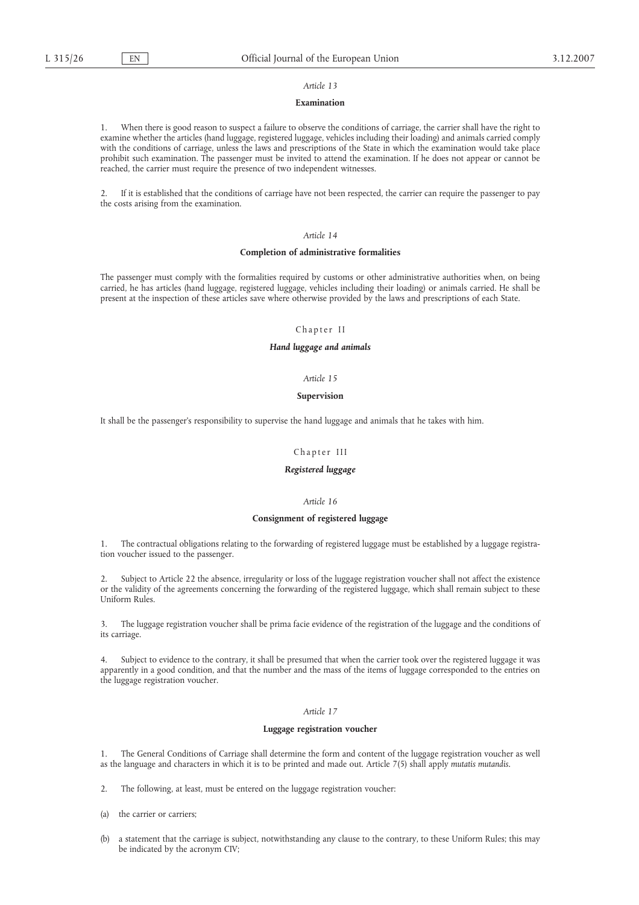# **Examination**

1. When there is good reason to suspect a failure to observe the conditions of carriage, the carrier shall have the right to examine whether the articles (hand luggage, registered luggage, vehicles including their loading) and animals carried comply with the conditions of carriage, unless the laws and prescriptions of the State in which the examination would take place prohibit such examination. The passenger must be invited to attend the examination. If he does not appear or cannot be reached, the carrier must require the presence of two independent witnesses.

2. If it is established that the conditions of carriage have not been respected, the carrier can require the passenger to pay the costs arising from the examination.

# *Article 14*

#### **Completion of administrative formalities**

The passenger must comply with the formalities required by customs or other administrative authorities when, on being carried, he has articles (hand luggage, registered luggage, vehicles including their loading) or animals carried. He shall be present at the inspection of these articles save where otherwise provided by the laws and prescriptions of each State.

### Chapter II

### *Hand luggage and animals*

#### *Article 15*

# **Supervision**

It shall be the passenger's responsibility to supervise the hand luggage and animals that he takes with him.

### Chapter III

### *Registered luggage*

# *Article 16*

### **Consignment of registered luggage**

1. The contractual obligations relating to the forwarding of registered luggage must be established by a luggage registration voucher issued to the passenger.

2. Subject to Article 22 the absence, irregularity or loss of the luggage registration voucher shall not affect the existence or the validity of the agreements concerning the forwarding of the registered luggage, which shall remain subject to these Uniform Rules.

3. The luggage registration voucher shall be prima facie evidence of the registration of the luggage and the conditions of its carriage.

4. Subject to evidence to the contrary, it shall be presumed that when the carrier took over the registered luggage it was apparently in a good condition, and that the number and the mass of the items of luggage corresponded to the entries on the luggage registration voucher.

# *Article 17*

### **Luggage registration voucher**

1. The General Conditions of Carriage shall determine the form and content of the luggage registration voucher as well as the language and characters in which it is to be printed and made out. Article 7(5) shall apply *mutatis mutandis.*

2. The following, at least, must be entered on the luggage registration voucher:

- (a) the carrier or carriers;
- (b) a statement that the carriage is subject, notwithstanding any clause to the contrary, to these Uniform Rules; this may be indicated by the acronym CIV;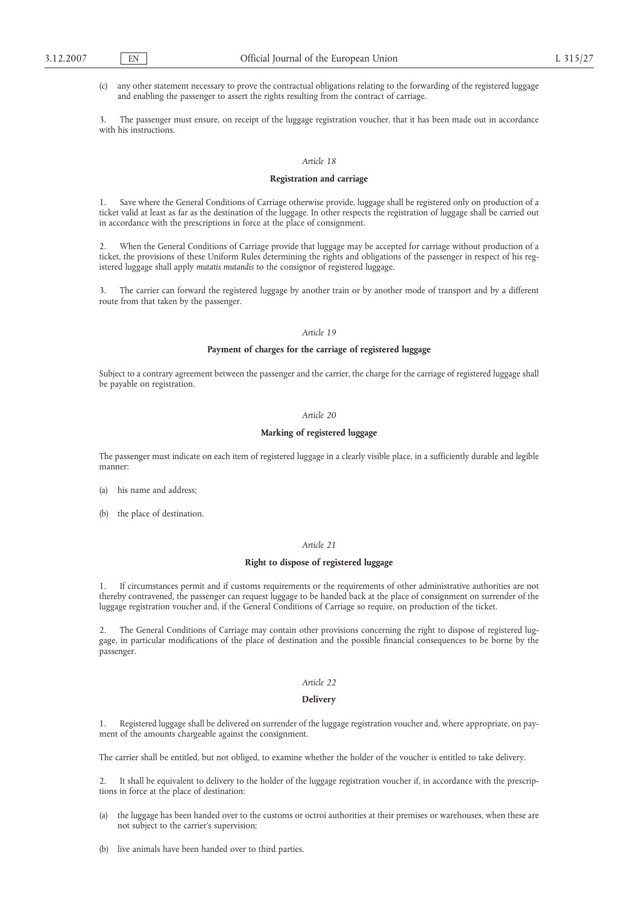(c) any other statement necessary to prove the contractual obligations relating to the forwarding of the registered luggage and enabling the passenger to assert the rights resulting from the contract of carriage.

The passenger must ensure, on receipt of the luggage registration voucher, that it has been made out in accordance with his instructions.

### *Article 18*

#### **Registration and carriage**

1. Save where the General Conditions of Carriage otherwise provide, luggage shall be registered only on production of a ticket valid at least as far as the destination of the luggage. In other respects the registration of luggage shall be carried out in accordance with the prescriptions in force at the place of consignment.

2. When the General Conditions of Carriage provide that luggage may be accepted for carriage without production of a ticket, the provisions of these Uniform Rules determining the rights and obligations of the passenger in respect of his registered luggage shall apply *mutatis mutandis* to the consignor of registered luggage.

3. The carrier can forward the registered luggage by another train or by another mode of transport and by a different route from that taken by the passenger.

#### *Article 19*

# **Payment of charges for the carriage of registered luggage**

Subject to a contrary agreement between the passenger and the carrier, the charge for the carriage of registered luggage shall be payable on registration.

## *Article 20*

# **Marking of registered luggage**

The passenger must indicate on each item of registered luggage in a clearly visible place, in a sufficiently durable and legible manner:

- (a) his name and address;
- (b) the place of destination.

#### *Article 21*

#### **Right to dispose of registered luggage**

1. If circumstances permit and if customs requirements or the requirements of other administrative authorities are not thereby contravened, the passenger can request luggage to be handed back at the place of consignment on surrender of the luggage registration voucher and, if the General Conditions of Carriage so require, on production of the ticket.

2. The General Conditions of Carriage may contain other provisions concerning the right to dispose of registered luggage, in particular modifications of the place of destination and the possible financial consequences to be borne by the passenger.

# *Article 22*

# **Delivery**

Registered luggage shall be delivered on surrender of the luggage registration voucher and, where appropriate, on payment of the amounts chargeable against the consignment.

The carrier shall be entitled, but not obliged, to examine whether the holder of the voucher is entitled to take delivery.

It shall be equivalent to delivery to the holder of the luggage registration voucher if, in accordance with the prescriptions in force at the place of destination:

- (a) the luggage has been handed over to the customs or octroi authorities at their premises or warehouses, when these are not subject to the carrier's supervision;
- (b) live animals have been handed over to third parties.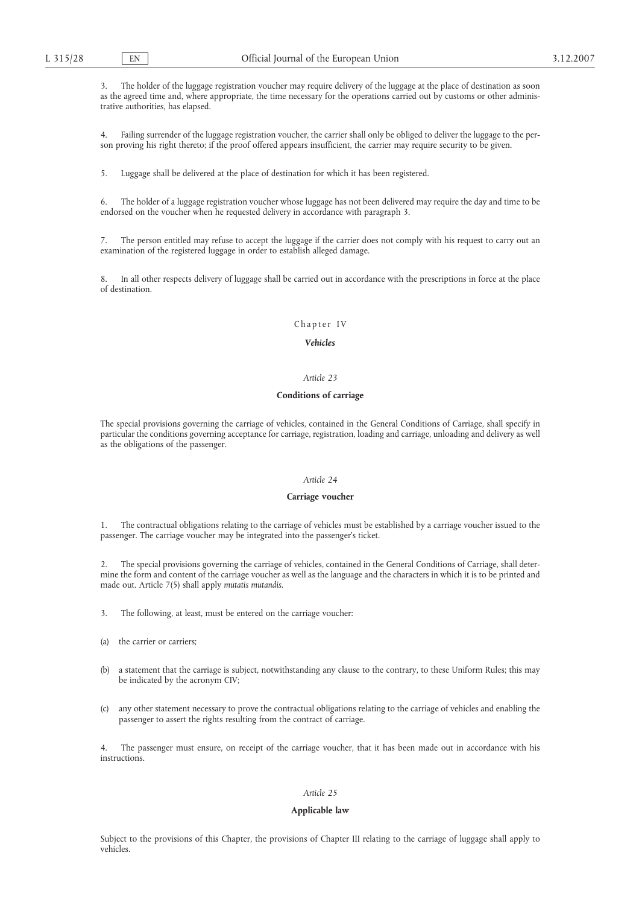3. The holder of the luggage registration voucher may require delivery of the luggage at the place of destination as soon as the agreed time and, where appropriate, the time necessary for the operations carried out by customs or other administrative authorities, has elapsed.

4. Failing surrender of the luggage registration voucher, the carrier shall only be obliged to deliver the luggage to the person proving his right thereto; if the proof offered appears insufficient, the carrier may require security to be given.

5. Luggage shall be delivered at the place of destination for which it has been registered.

6. The holder of a luggage registration voucher whose luggage has not been delivered may require the day and time to be endorsed on the voucher when he requested delivery in accordance with paragraph 3.

The person entitled may refuse to accept the luggage if the carrier does not comply with his request to carry out an examination of the registered luggage in order to establish alleged damage.

8. In all other respects delivery of luggage shall be carried out in accordance with the prescriptions in force at the place of destination.

# Chapter IV

### *Vehicles*

# *Article 23*

# **Conditions of carriage**

The special provisions governing the carriage of vehicles, contained in the General Conditions of Carriage, shall specify in particular the conditions governing acceptance for carriage, registration, loading and carriage, unloading and delivery as well as the obligations of the passenger.

# *Article 24*

#### **Carriage voucher**

1. The contractual obligations relating to the carriage of vehicles must be established by a carriage voucher issued to the passenger. The carriage voucher may be integrated into the passenger's ticket.

2. The special provisions governing the carriage of vehicles, contained in the General Conditions of Carriage, shall determine the form and content of the carriage voucher as well as the language and the characters in which it is to be printed and made out. Article 7(5) shall apply *mutatis mutandis*.

3. The following, at least, must be entered on the carriage voucher:

- (a) the carrier or carriers;
- (b) a statement that the carriage is subject, notwithstanding any clause to the contrary, to these Uniform Rules; this may be indicated by the acronym CIV;
- (c) any other statement necessary to prove the contractual obligations relating to the carriage of vehicles and enabling the passenger to assert the rights resulting from the contract of carriage.

The passenger must ensure, on receipt of the carriage voucher, that it has been made out in accordance with his instructions.

# *Article 25*

#### **Applicable law**

Subject to the provisions of this Chapter, the provisions of Chapter III relating to the carriage of luggage shall apply to vehicles.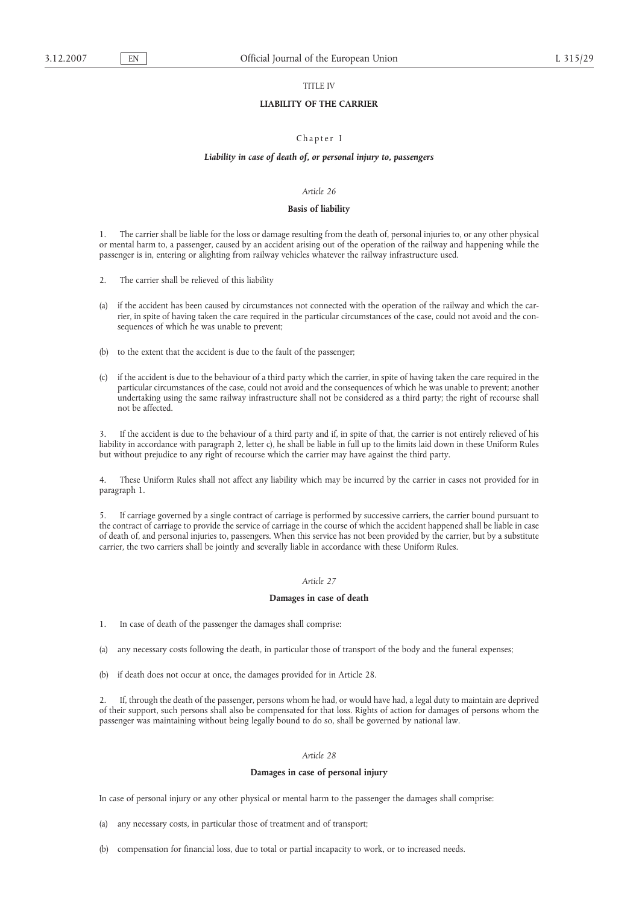# TITLE IV

## **LIABILITY OF THE CARRIER**

# Chapter I

#### *Liability in case of death of, or personal injury to, passengers*

# *Article 26*

#### **Basis of liability**

1. The carrier shall be liable for the loss or damage resulting from the death of, personal injuries to, or any other physical or mental harm to, a passenger, caused by an accident arising out of the operation of the railway and happening while the passenger is in, entering or alighting from railway vehicles whatever the railway infrastructure used.

- 2. The carrier shall be relieved of this liability
- (a) if the accident has been caused by circumstances not connected with the operation of the railway and which the carrier, in spite of having taken the care required in the particular circumstances of the case, could not avoid and the consequences of which he was unable to prevent;
- (b) to the extent that the accident is due to the fault of the passenger;
- (c) if the accident is due to the behaviour of a third party which the carrier, in spite of having taken the care required in the particular circumstances of the case, could not avoid and the consequences of which he was unable to prevent; another undertaking using the same railway infrastructure shall not be considered as a third party; the right of recourse shall not be affected.

If the accident is due to the behaviour of a third party and if, in spite of that, the carrier is not entirely relieved of his liability in accordance with paragraph 2, letter c), he shall be liable in full up to the limits laid down in these Uniform Rules but without prejudice to any right of recourse which the carrier may have against the third party.

4. These Uniform Rules shall not affect any liability which may be incurred by the carrier in cases not provided for in paragraph 1.

5. If carriage governed by a single contract of carriage is performed by successive carriers, the carrier bound pursuant to the contract of carriage to provide the service of carriage in the course of which the accident happened shall be liable in case of death of, and personal injuries to, passengers. When this service has not been provided by the carrier, but by a substitute carrier, the two carriers shall be jointly and severally liable in accordance with these Uniform Rules.

# *Article 27*

# **Damages in case of death**

- 1. In case of death of the passenger the damages shall comprise:
- (a) any necessary costs following the death, in particular those of transport of the body and the funeral expenses;
- (b) if death does not occur at once, the damages provided for in Article 28.

2. If, through the death of the passenger, persons whom he had, or would have had, a legal duty to maintain are deprived of their support, such persons shall also be compensated for that loss. Rights of action for damages of persons whom the passenger was maintaining without being legally bound to do so, shall be governed by national law.

# *Article 28*

# **Damages in case of personal injury**

In case of personal injury or any other physical or mental harm to the passenger the damages shall comprise:

- (a) any necessary costs, in particular those of treatment and of transport;
- (b) compensation for financial loss, due to total or partial incapacity to work, or to increased needs.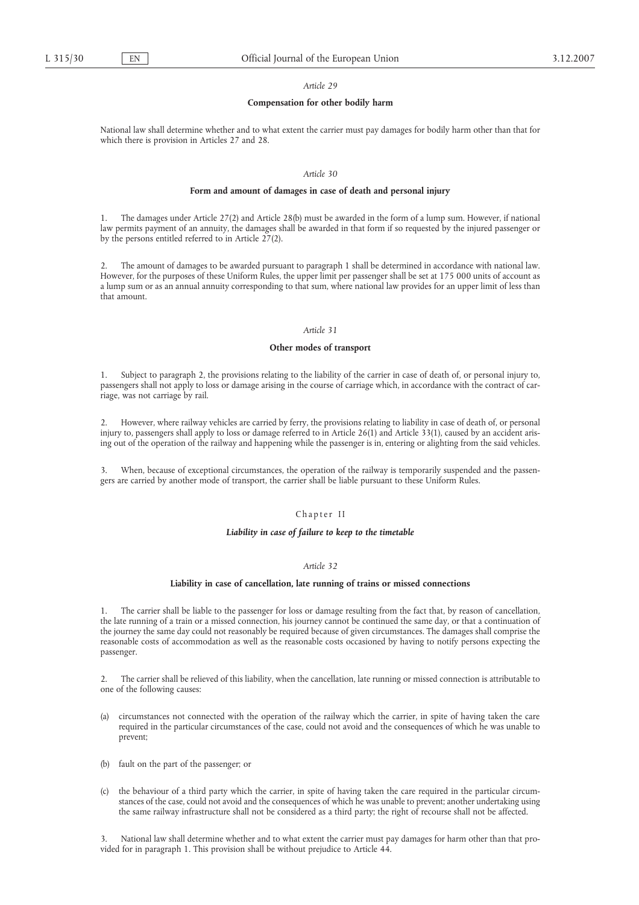#### **Compensation for other bodily harm**

National law shall determine whether and to what extent the carrier must pay damages for bodily harm other than that for which there is provision in Articles 27 and 28.

# *Article 30*

### **Form and amount of damages in case of death and personal injury**

1. The damages under Article 27(2) and Article 28(b) must be awarded in the form of a lump sum. However, if national law permits payment of an annuity, the damages shall be awarded in that form if so requested by the injured passenger or by the persons entitled referred to in Article 27(2).

2. The amount of damages to be awarded pursuant to paragraph 1 shall be determined in accordance with national law. However, for the purposes of these Uniform Rules, the upper limit per passenger shall be set at 175 000 units of account as a lump sum or as an annual annuity corresponding to that sum, where national law provides for an upper limit of less than that amount.

#### *Article 31*

### **Other modes of transport**

1. Subject to paragraph 2, the provisions relating to the liability of the carrier in case of death of, or personal injury to, passengers shall not apply to loss or damage arising in the course of carriage which, in accordance with the contract of carriage, was not carriage by rail.

2. However, where railway vehicles are carried by ferry, the provisions relating to liability in case of death of, or personal injury to, passengers shall apply to loss or damage referred to in Article 26(1) and Article 33(1), caused by an accident arising out of the operation of the railway and happening while the passenger is in, entering or alighting from the said vehicles.

When, because of exceptional circumstances, the operation of the railway is temporarily suspended and the passengers are carried by another mode of transport, the carrier shall be liable pursuant to these Uniform Rules.

#### Chapter II

# *Liability in case of failure to keep to the timetable*

## *Article 32*

### **Liability in case of cancellation, late running of trains or missed connections**

1. The carrier shall be liable to the passenger for loss or damage resulting from the fact that, by reason of cancellation, the late running of a train or a missed connection, his journey cannot be continued the same day, or that a continuation of the journey the same day could not reasonably be required because of given circumstances. The damages shall comprise the reasonable costs of accommodation as well as the reasonable costs occasioned by having to notify persons expecting the passenger.

2. The carrier shall be relieved of this liability, when the cancellation, late running or missed connection is attributable to one of the following causes:

- (a) circumstances not connected with the operation of the railway which the carrier, in spite of having taken the care required in the particular circumstances of the case, could not avoid and the consequences of which he was unable to prevent;
- (b) fault on the part of the passenger; or
- (c) the behaviour of a third party which the carrier, in spite of having taken the care required in the particular circumstances of the case, could not avoid and the consequences of which he was unable to prevent; another undertaking using the same railway infrastructure shall not be considered as a third party; the right of recourse shall not be affected.

3. National law shall determine whether and to what extent the carrier must pay damages for harm other than that provided for in paragraph 1. This provision shall be without prejudice to Article 44.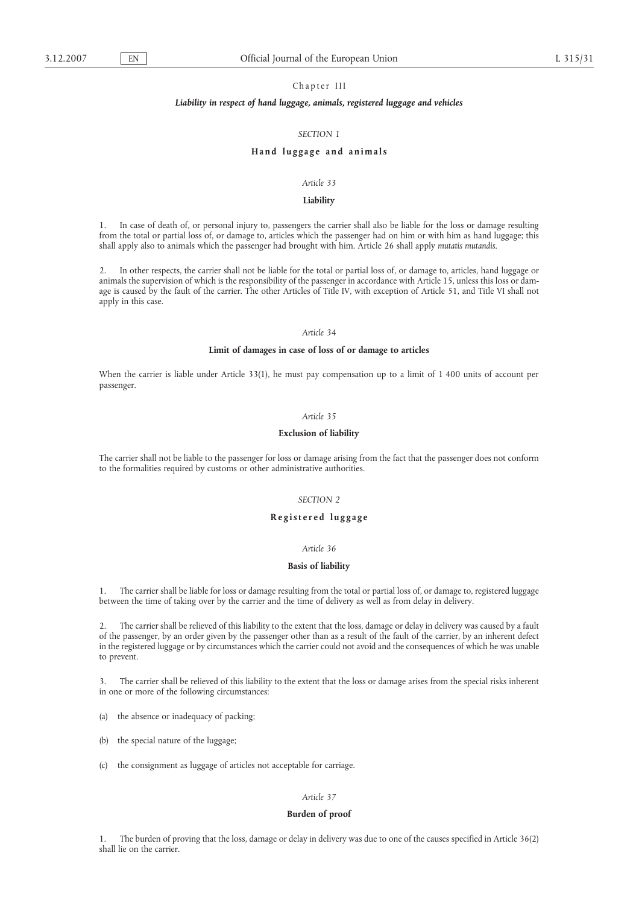# Chapter III

# *Liability in respect of hand luggage, animals, registered luggage and vehicles*

# *SECTION 1*

### **Hand luggage and animals**

### *Article 33*

# **Liability**

1. In case of death of, or personal injury to, passengers the carrier shall also be liable for the loss or damage resulting from the total or partial loss of, or damage to, articles which the passenger had on him or with him as hand luggage; this shall apply also to animals which the passenger had brought with him. Article 26 shall apply *mutatis mutandis*.

2. In other respects, the carrier shall not be liable for the total or partial loss of, or damage to, articles, hand luggage or animals the supervision of which is the responsibility of the passenger in accordance with Article 15, unless this loss or damage is caused by the fault of the carrier. The other Articles of Title IV, with exception of Article 51, and Title VI shall not apply in this case.

#### *Article 34*

# **Limit of damages in case of loss of or damage to articles**

When the carrier is liable under Article 33(1), he must pay compensation up to a limit of 1 400 units of account per passenger.

### *Article 35*

### **Exclusion of liability**

The carrier shall not be liable to the passenger for loss or damage arising from the fact that the passenger does not conform to the formalities required by customs or other administrative authorities.

# *SECTION 2*

# **Registered luggage**

# *Article 36*

#### **Basis of liability**

1. The carrier shall be liable for loss or damage resulting from the total or partial loss of, or damage to, registered luggage between the time of taking over by the carrier and the time of delivery as well as from delay in delivery.

2. The carrier shall be relieved of this liability to the extent that the loss, damage or delay in delivery was caused by a fault of the passenger, by an order given by the passenger other than as a result of the fault of the carrier, by an inherent defect in the registered luggage or by circumstances which the carrier could not avoid and the consequences of which he was unable to prevent.

3. The carrier shall be relieved of this liability to the extent that the loss or damage arises from the special risks inherent in one or more of the following circumstances:

(a) the absence or inadequacy of packing;

- (b) the special nature of the luggage;
- (c) the consignment as luggage of articles not acceptable for carriage.

# *Article 37*

#### **Burden of proof**

1. The burden of proving that the loss, damage or delay in delivery was due to one of the causes specified in Article 36(2) shall lie on the carrier.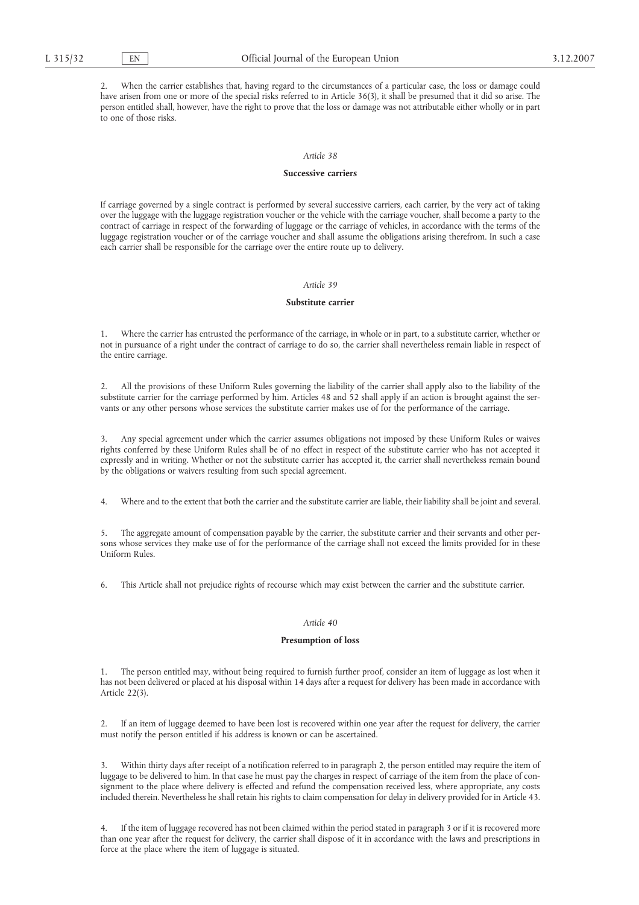2. When the carrier establishes that, having regard to the circumstances of a particular case, the loss or damage could have arisen from one or more of the special risks referred to in Article 36(3), it shall be presumed that it did so arise. The person entitled shall, however, have the right to prove that the loss or damage was not attributable either wholly or in part to one of those risks.

#### *Article 38*

#### **Successive carriers**

If carriage governed by a single contract is performed by several successive carriers, each carrier, by the very act of taking over the luggage with the luggage registration voucher or the vehicle with the carriage voucher, shall become a party to the contract of carriage in respect of the forwarding of luggage or the carriage of vehicles, in accordance with the terms of the luggage registration voucher or of the carriage voucher and shall assume the obligations arising therefrom. In such a case each carrier shall be responsible for the carriage over the entire route up to delivery.

# *Article 39*

# **Substitute carrier**

1. Where the carrier has entrusted the performance of the carriage, in whole or in part, to a substitute carrier, whether or not in pursuance of a right under the contract of carriage to do so, the carrier shall nevertheless remain liable in respect of the entire carriage.

2. All the provisions of these Uniform Rules governing the liability of the carrier shall apply also to the liability of the substitute carrier for the carriage performed by him. Articles 48 and 52 shall apply if an action is brought against the servants or any other persons whose services the substitute carrier makes use of for the performance of the carriage.

3. Any special agreement under which the carrier assumes obligations not imposed by these Uniform Rules or waives rights conferred by these Uniform Rules shall be of no effect in respect of the substitute carrier who has not accepted it expressly and in writing. Whether or not the substitute carrier has accepted it, the carrier shall nevertheless remain bound by the obligations or waivers resulting from such special agreement.

4. Where and to the extent that both the carrier and the substitute carrier are liable, their liability shall be joint and several.

5. The aggregate amount of compensation payable by the carrier, the substitute carrier and their servants and other persons whose services they make use of for the performance of the carriage shall not exceed the limits provided for in these Uniform Rules.

6. This Article shall not prejudice rights of recourse which may exist between the carrier and the substitute carrier.

### *Article 40*

### **Presumption of loss**

1. The person entitled may, without being required to furnish further proof, consider an item of luggage as lost when it has not been delivered or placed at his disposal within 14 days after a request for delivery has been made in accordance with Article 22(3).

2. If an item of luggage deemed to have been lost is recovered within one year after the request for delivery, the carrier must notify the person entitled if his address is known or can be ascertained.

3. Within thirty days after receipt of a notification referred to in paragraph 2, the person entitled may require the item of luggage to be delivered to him. In that case he must pay the charges in respect of carriage of the item from the place of consignment to the place where delivery is effected and refund the compensation received less, where appropriate, any costs included therein. Nevertheless he shall retain his rights to claim compensation for delay in delivery provided for in Article 43.

4. If the item of luggage recovered has not been claimed within the period stated in paragraph 3 or if it is recovered more than one year after the request for delivery, the carrier shall dispose of it in accordance with the laws and prescriptions in force at the place where the item of luggage is situated.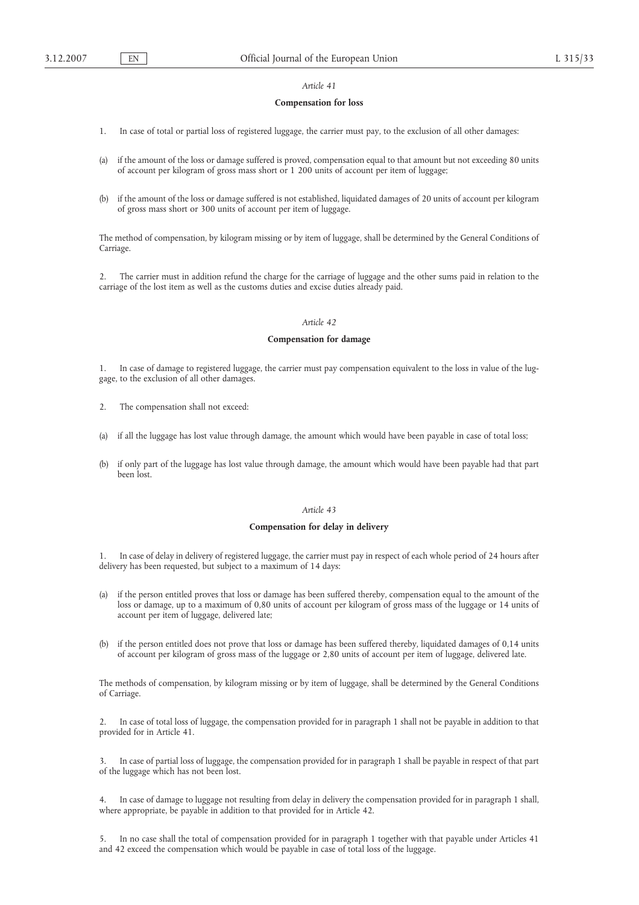# **Compensation for loss**

- 1. In case of total or partial loss of registered luggage, the carrier must pay, to the exclusion of all other damages:
- (a) if the amount of the loss or damage suffered is proved, compensation equal to that amount but not exceeding 80 units of account per kilogram of gross mass short or 1 200 units of account per item of luggage;
- (b) if the amount of the loss or damage suffered is not established, liquidated damages of 20 units of account per kilogram of gross mass short or 300 units of account per item of luggage.

The method of compensation, by kilogram missing or by item of luggage, shall be determined by the General Conditions of Carriage.

2. The carrier must in addition refund the charge for the carriage of luggage and the other sums paid in relation to the carriage of the lost item as well as the customs duties and excise duties already paid.

# *Article 42*

### **Compensation for damage**

1. In case of damage to registered luggage, the carrier must pay compensation equivalent to the loss in value of the luggage, to the exclusion of all other damages.

- 2. The compensation shall not exceed:
- (a) if all the luggage has lost value through damage, the amount which would have been payable in case of total loss;
- (b) if only part of the luggage has lost value through damage, the amount which would have been payable had that part been lost.

#### *Article 43*

#### **Compensation for delay in delivery**

1. In case of delay in delivery of registered luggage, the carrier must pay in respect of each whole period of 24 hours after delivery has been requested, but subject to a maximum of 14 days:

- (a) if the person entitled proves that loss or damage has been suffered thereby, compensation equal to the amount of the loss or damage, up to a maximum of 0,80 units of account per kilogram of gross mass of the luggage or 14 units of account per item of luggage, delivered late;
- (b) if the person entitled does not prove that loss or damage has been suffered thereby, liquidated damages of 0,14 units of account per kilogram of gross mass of the luggage or 2,80 units of account per item of luggage, delivered late.

The methods of compensation, by kilogram missing or by item of luggage, shall be determined by the General Conditions of Carriage.

2. In case of total loss of luggage, the compensation provided for in paragraph 1 shall not be payable in addition to that provided for in Article 41.

3. In case of partial loss of luggage, the compensation provided for in paragraph 1 shall be payable in respect of that part of the luggage which has not been lost.

4. In case of damage to luggage not resulting from delay in delivery the compensation provided for in paragraph 1 shall, where appropriate, be payable in addition to that provided for in Article 42.

5. In no case shall the total of compensation provided for in paragraph 1 together with that payable under Articles 41 and 42 exceed the compensation which would be payable in case of total loss of the luggage.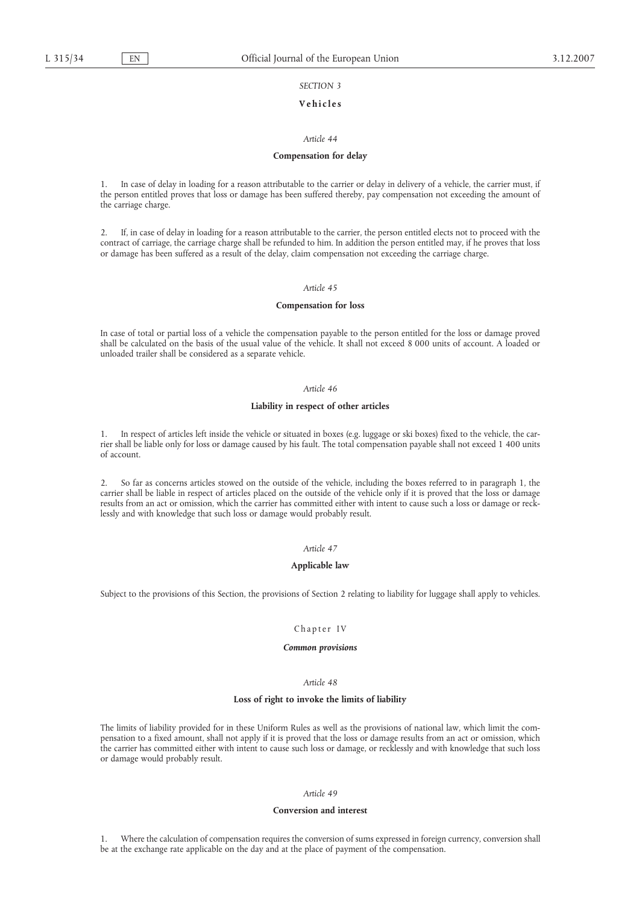# *SECTION 3*

## **Vehicles**

## *Article 44*

#### **Compensation for delay**

1. In case of delay in loading for a reason attributable to the carrier or delay in delivery of a vehicle, the carrier must, if the person entitled proves that loss or damage has been suffered thereby, pay compensation not exceeding the amount of the carriage charge.

2. If, in case of delay in loading for a reason attributable to the carrier, the person entitled elects not to proceed with the contract of carriage, the carriage charge shall be refunded to him. In addition the person entitled may, if he proves that loss or damage has been suffered as a result of the delay, claim compensation not exceeding the carriage charge.

### *Article 45*

#### **Compensation for loss**

In case of total or partial loss of a vehicle the compensation payable to the person entitled for the loss or damage proved shall be calculated on the basis of the usual value of the vehicle. It shall not exceed 8 000 units of account. A loaded or unloaded trailer shall be considered as a separate vehicle.

### *Article 46*

#### **Liability in respect of other articles**

1. In respect of articles left inside the vehicle or situated in boxes (e.g. luggage or ski boxes) fixed to the vehicle, the carrier shall be liable only for loss or damage caused by his fault. The total compensation payable shall not exceed 1 400 units of account.

2. So far as concerns articles stowed on the outside of the vehicle, including the boxes referred to in paragraph 1, the carrier shall be liable in respect of articles placed on the outside of the vehicle only if it is proved that the loss or damage results from an act or omission, which the carrier has committed either with intent to cause such a loss or damage or recklessly and with knowledge that such loss or damage would probably result.

#### *Article 47*

#### **Applicable law**

Subject to the provisions of this Section, the provisions of Section 2 relating to liability for luggage shall apply to vehicles.

### Chapter IV

#### *Common provisions*

# *Article 48*

# **Loss of right to invoke the limits of liability**

The limits of liability provided for in these Uniform Rules as well as the provisions of national law, which limit the compensation to a fixed amount, shall not apply if it is proved that the loss or damage results from an act or omission, which the carrier has committed either with intent to cause such loss or damage, or recklessly and with knowledge that such loss or damage would probably result.

### *Article 49*

### **Conversion and interest**

1. Where the calculation of compensation requires the conversion of sums expressed in foreign currency, conversion shall be at the exchange rate applicable on the day and at the place of payment of the compensation.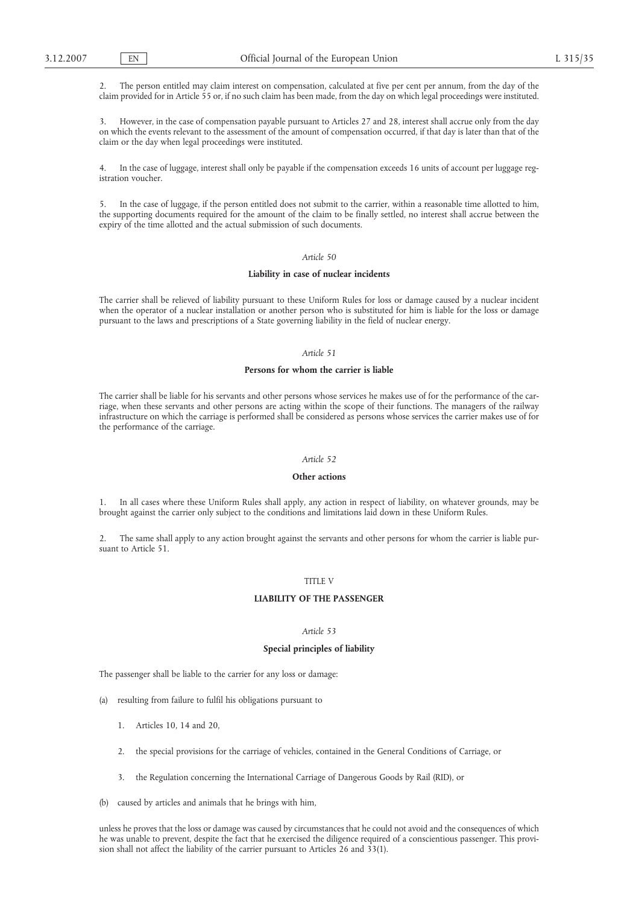2. The person entitled may claim interest on compensation, calculated at five per cent per annum, from the day of the claim provided for in Article 55 or, if no such claim has been made, from the day on which legal proceedings were instituted.

3. However, in the case of compensation payable pursuant to Articles 27 and 28, interest shall accrue only from the day on which the events relevant to the assessment of the amount of compensation occurred, if that day is later than that of the claim or the day when legal proceedings were instituted.

In the case of luggage, interest shall only be payable if the compensation exceeds 16 units of account per luggage registration voucher.

5. In the case of luggage, if the person entitled does not submit to the carrier, within a reasonable time allotted to him, the supporting documents required for the amount of the claim to be finally settled, no interest shall accrue between the expiry of the time allotted and the actual submission of such documents.

# *Article 50*

#### **Liability in case of nuclear incidents**

The carrier shall be relieved of liability pursuant to these Uniform Rules for loss or damage caused by a nuclear incident when the operator of a nuclear installation or another person who is substituted for him is liable for the loss or damage pursuant to the laws and prescriptions of a State governing liability in the field of nuclear energy.

### *Article 51*

# **Persons for whom the carrier is liable**

The carrier shall be liable for his servants and other persons whose services he makes use of for the performance of the carriage, when these servants and other persons are acting within the scope of their functions. The managers of the railway infrastructure on which the carriage is performed shall be considered as persons whose services the carrier makes use of for the performance of the carriage.

## *Article 52*

# **Other actions**

1. In all cases where these Uniform Rules shall apply, any action in respect of liability, on whatever grounds, may be brought against the carrier only subject to the conditions and limitations laid down in these Uniform Rules.

2. The same shall apply to any action brought against the servants and other persons for whom the carrier is liable pursuant to Article 51.

# TITLE V

# **LIABILITY OF THE PASSENGER**

# *Article 53*

#### **Special principles of liability**

The passenger shall be liable to the carrier for any loss or damage:

- (a) resulting from failure to fulfil his obligations pursuant to
	- 1. Articles 10, 14 and 20,
	- 2. the special provisions for the carriage of vehicles, contained in the General Conditions of Carriage, or
	- 3. the Regulation concerning the International Carriage of Dangerous Goods by Rail (RID), or
- (b) caused by articles and animals that he brings with him,

unless he proves that the loss or damage was caused by circumstances that he could not avoid and the consequences of which he was unable to prevent, despite the fact that he exercised the diligence required of a conscientious passenger. This provision shall not affect the liability of the carrier pursuant to Articles 26 and 33(1).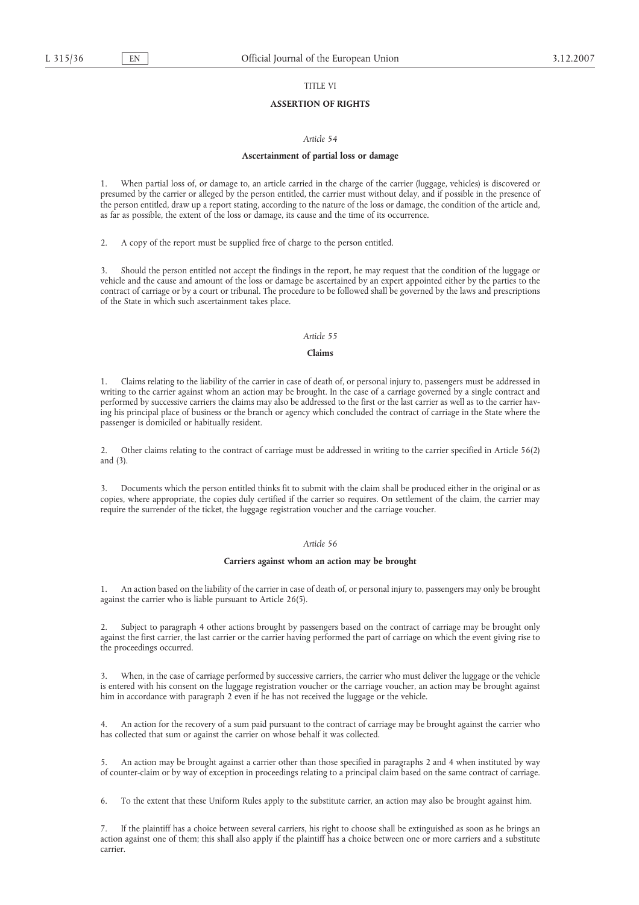# TITLE VI

# **ASSERTION OF RIGHTS**

## *Article 54*

#### **Ascertainment of partial loss or damage**

1. When partial loss of, or damage to, an article carried in the charge of the carrier (luggage, vehicles) is discovered or presumed by the carrier or alleged by the person entitled, the carrier must without delay, and if possible in the presence of the person entitled, draw up a report stating, according to the nature of the loss or damage, the condition of the article and, as far as possible, the extent of the loss or damage, its cause and the time of its occurrence.

2. A copy of the report must be supplied free of charge to the person entitled.

3. Should the person entitled not accept the findings in the report, he may request that the condition of the luggage or vehicle and the cause and amount of the loss or damage be ascertained by an expert appointed either by the parties to the contract of carriage or by a court or tribunal. The procedure to be followed shall be governed by the laws and prescriptions of the State in which such ascertainment takes place.

## *Article 55*

# **Claims**

1. Claims relating to the liability of the carrier in case of death of, or personal injury to, passengers must be addressed in writing to the carrier against whom an action may be brought. In the case of a carriage governed by a single contract and performed by successive carriers the claims may also be addressed to the first or the last carrier as well as to the carrier having his principal place of business or the branch or agency which concluded the contract of carriage in the State where the passenger is domiciled or habitually resident.

2. Other claims relating to the contract of carriage must be addressed in writing to the carrier specified in Article 56(2) and (3).

3. Documents which the person entitled thinks fit to submit with the claim shall be produced either in the original or as copies, where appropriate, the copies duly certified if the carrier so requires. On settlement of the claim, the carrier may require the surrender of the ticket, the luggage registration voucher and the carriage voucher.

#### *Article 56*

#### **Carriers against whom an action may be brought**

1. An action based on the liability of the carrier in case of death of, or personal injury to, passengers may only be brought against the carrier who is liable pursuant to Article 26(5).

2. Subject to paragraph 4 other actions brought by passengers based on the contract of carriage may be brought only against the first carrier, the last carrier or the carrier having performed the part of carriage on which the event giving rise to the proceedings occurred.

3. When, in the case of carriage performed by successive carriers, the carrier who must deliver the luggage or the vehicle is entered with his consent on the luggage registration voucher or the carriage voucher, an action may be brought against him in accordance with paragraph 2 even if he has not received the luggage or the vehicle.

4. An action for the recovery of a sum paid pursuant to the contract of carriage may be brought against the carrier who has collected that sum or against the carrier on whose behalf it was collected.

5. An action may be brought against a carrier other than those specified in paragraphs 2 and 4 when instituted by way of counter-claim or by way of exception in proceedings relating to a principal claim based on the same contract of carriage.

6. To the extent that these Uniform Rules apply to the substitute carrier, an action may also be brought against him.

If the plaintiff has a choice between several carriers, his right to choose shall be extinguished as soon as he brings an action against one of them; this shall also apply if the plaintiff has a choice between one or more carriers and a substitute carrier.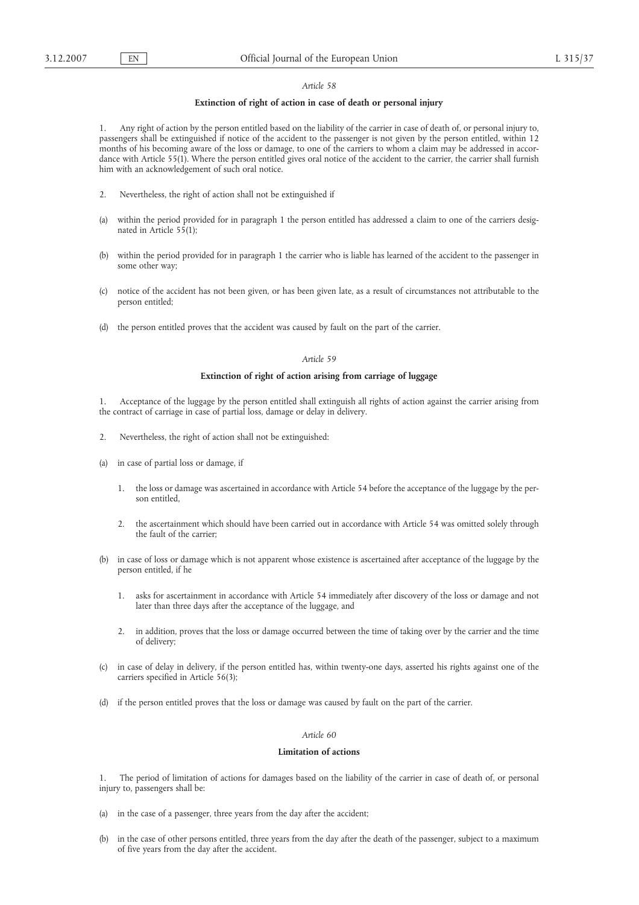# **Extinction of right of action in case of death or personal injury**

1. Any right of action by the person entitled based on the liability of the carrier in case of death of, or personal injury to, passengers shall be extinguished if notice of the accident to the passenger is not given by the person entitled, within 12 months of his becoming aware of the loss or damage, to one of the carriers to whom a claim may be addressed in accordance with Article 55(1). Where the person entitled gives oral notice of the accident to the carrier, the carrier shall furnish him with an acknowledgement of such oral notice.

- 2. Nevertheless, the right of action shall not be extinguished if
- (a) within the period provided for in paragraph 1 the person entitled has addressed a claim to one of the carriers designated in Article 55(1);
- (b) within the period provided for in paragraph 1 the carrier who is liable has learned of the accident to the passenger in some other way;
- (c) notice of the accident has not been given, or has been given late, as a result of circumstances not attributable to the person entitled;
- (d) the person entitled proves that the accident was caused by fault on the part of the carrier.

# *Article 59*

### **Extinction of right of action arising from carriage of luggage**

- 1. Acceptance of the luggage by the person entitled shall extinguish all rights of action against the carrier arising from the contract of carriage in case of partial loss, damage or delay in delivery.
- 2. Nevertheless, the right of action shall not be extinguished:
- (a) in case of partial loss or damage, if
	- 1. the loss or damage was ascertained in accordance with Article 54 before the acceptance of the luggage by the person entitled,
	- 2. the ascertainment which should have been carried out in accordance with Article 54 was omitted solely through the fault of the carrier;
- (b) in case of loss or damage which is not apparent whose existence is ascertained after acceptance of the luggage by the person entitled, if he
	- 1. asks for ascertainment in accordance with Article 54 immediately after discovery of the loss or damage and not later than three days after the acceptance of the luggage, and
	- 2. in addition, proves that the loss or damage occurred between the time of taking over by the carrier and the time of delivery;
- (c) in case of delay in delivery, if the person entitled has, within twenty-one days, asserted his rights against one of the carriers specified in Article 56(3);
- (d) if the person entitled proves that the loss or damage was caused by fault on the part of the carrier.

### *Article 60*

## **Limitation of actions**

1. The period of limitation of actions for damages based on the liability of the carrier in case of death of, or personal injury to, passengers shall be:

- (a) in the case of a passenger, three years from the day after the accident;
- (b) in the case of other persons entitled, three years from the day after the death of the passenger, subject to a maximum of five years from the day after the accident.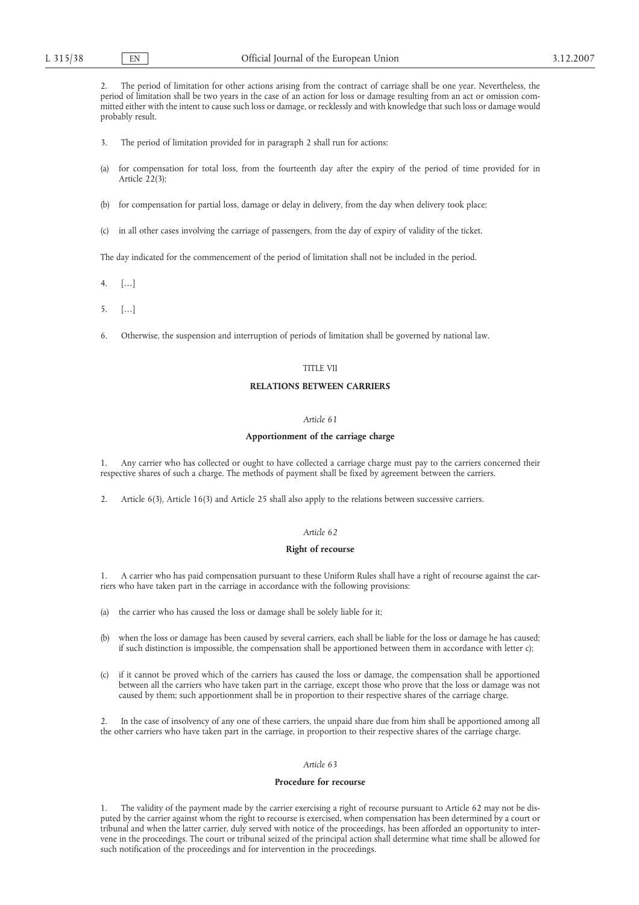2. The period of limitation for other actions arising from the contract of carriage shall be one year. Nevertheless, the period of limitation shall be two years in the case of an action for loss or damage resulting from an act or omission committed either with the intent to cause such loss or damage, or recklessly and with knowledge that such loss or damage would probably result.

- 3. The period of limitation provided for in paragraph 2 shall run for actions:
- (a) for compensation for total loss, from the fourteenth day after the expiry of the period of time provided for in Article 22(3);
- (b) for compensation for partial loss, damage or delay in delivery, from the day when delivery took place;
- (c) in all other cases involving the carriage of passengers, from the day of expiry of validity of the ticket.

The day indicated for the commencement of the period of limitation shall not be included in the period.

- 4. […]
- 5. […]
- 6. Otherwise, the suspension and interruption of periods of limitation shall be governed by national law.

#### TITLE VII

## **RELATIONS BETWEEN CARRIERS**

# *Article 61*

#### **Apportionment of the carriage charge**

1. Any carrier who has collected or ought to have collected a carriage charge must pay to the carriers concerned their respective shares of such a charge. The methods of payment shall be fixed by agreement between the carriers.

2. Article 6(3), Article 16(3) and Article 25 shall also apply to the relations between successive carriers.

# *Article 62*

## **Right of recourse**

1. A carrier who has paid compensation pursuant to these Uniform Rules shall have a right of recourse against the carriers who have taken part in the carriage in accordance with the following provisions:

(a) the carrier who has caused the loss or damage shall be solely liable for it;

- (b) when the loss or damage has been caused by several carriers, each shall be liable for the loss or damage he has caused; if such distinction is impossible, the compensation shall be apportioned between them in accordance with letter c);
- (c) if it cannot be proved which of the carriers has caused the loss or damage, the compensation shall be apportioned between all the carriers who have taken part in the carriage, except those who prove that the loss or damage was not caused by them; such apportionment shall be in proportion to their respective shares of the carriage charge.

In the case of insolvency of any one of these carriers, the unpaid share due from him shall be apportioned among all the other carriers who have taken part in the carriage, in proportion to their respective shares of the carriage charge.

# *Article 63*

#### **Procedure for recourse**

1. The validity of the payment made by the carrier exercising a right of recourse pursuant to Article 62 may not be disputed by the carrier against whom the right to recourse is exercised, when compensation has been determined by a court or tribunal and when the latter carrier, duly served with notice of the proceedings, has been afforded an opportunity to intervene in the proceedings. The court or tribunal seized of the principal action shall determine what time shall be allowed for such notification of the proceedings and for intervention in the proceedings.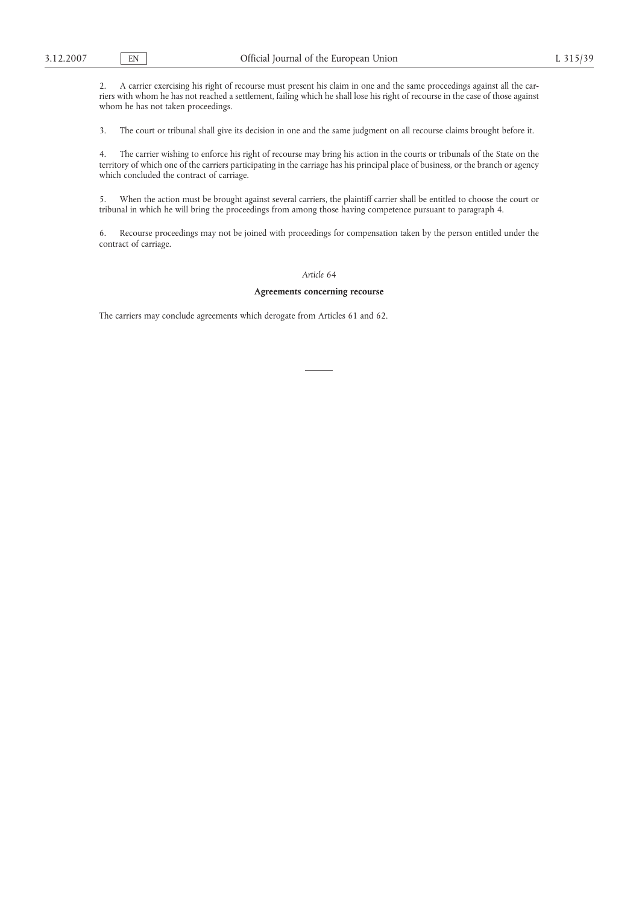2. A carrier exercising his right of recourse must present his claim in one and the same proceedings against all the carriers with whom he has not reached a settlement, failing which he shall lose his right of recourse in the case of those against whom he has not taken proceedings.

3. The court or tribunal shall give its decision in one and the same judgment on all recourse claims brought before it.

4. The carrier wishing to enforce his right of recourse may bring his action in the courts or tribunals of the State on the territory of which one of the carriers participating in the carriage has his principal place of business, or the branch or agency which concluded the contract of carriage.

5. When the action must be brought against several carriers, the plaintiff carrier shall be entitled to choose the court or tribunal in which he will bring the proceedings from among those having competence pursuant to paragraph 4.

6. Recourse proceedings may not be joined with proceedings for compensation taken by the person entitled under the contract of carriage.

# *Article 64*

#### **Agreements concerning recourse**

The carriers may conclude agreements which derogate from Articles 61 and 62.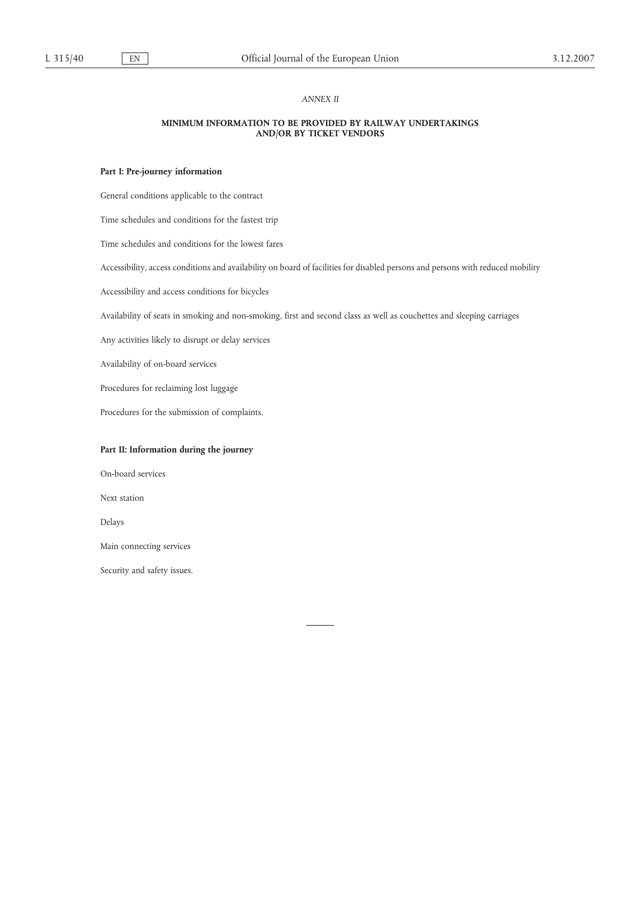### *ANNEX II*

# **MINIMUM INFORMATION TO BE PROVIDED BY RAILWAY UNDERTAKINGS AND/OR BY TICKET VENDORS**

## **Part I: Pre-journey information**

General conditions applicable to the contract

Time schedules and conditions for the fastest trip

Time schedules and conditions for the lowest fares

Accessibility, access conditions and availability on board of facilities for disabled persons and persons with reduced mobility

Accessibility and access conditions for bicycles

Availability of seats in smoking and non-smoking, first and second class as well as couchettes and sleeping carriages

Any activities likely to disrupt or delay services

Availability of on-board services

Procedures for reclaiming lost luggage

Procedures for the submission of complaints.

# **Part II: Information during the journey**

On-board services

Next station

Delays

Main connecting services

Security and safety issues.